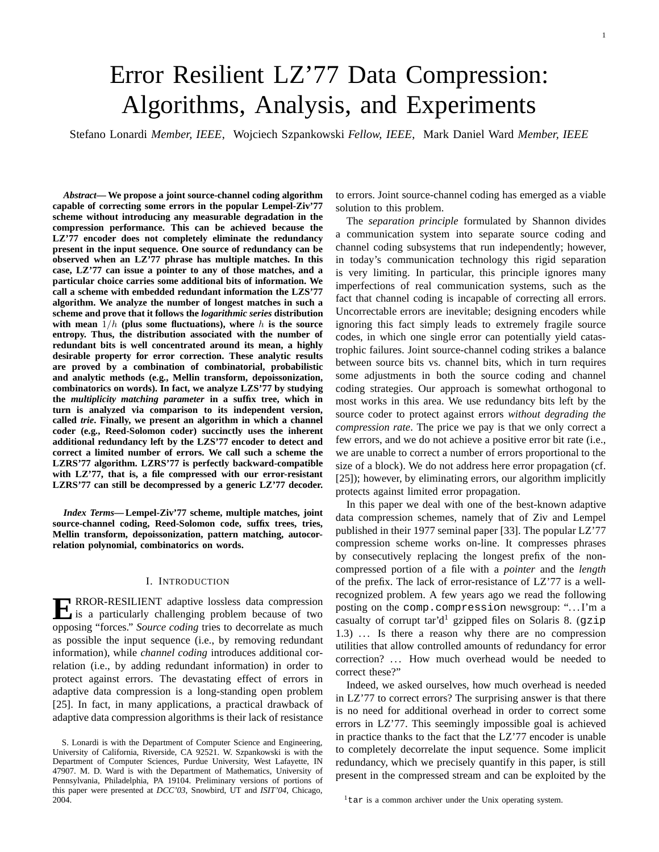# Error Resilient LZ'77 Data Compression: Algorithms, Analysis, and Experiments

Stefano Lonardi *Member, IEEE*, Wojciech Szpankowski *Fellow, IEEE*, Mark Daniel Ward *Member, IEEE*

*Abstract***— We propose a joint source-channel coding algorithm capable of correcting some errors in the popular Lempel-Ziv'77 scheme without introducing any measurable degradation in the compression performance. This can be achieved because the LZ'77 encoder does not completely eliminate the redundancy present in the input sequence. One source of redundancy can be observed when an LZ'77 phrase has multiple matches. In this case, LZ'77 can issue a pointer to any of those matches, and a particular choice carries some additional bits of information. We call a scheme with embedded redundant information the LZS'77 algorithm. We analyze the number of longest matches in such a scheme and prove that it follows the** *logarithmic series* **distribution** with mean  $1/h$  (plus some fluctuations), where  $h$  is the source **entropy. Thus, the distribution associated with the number of redundant bits is well concentrated around its mean, a highly desirable property for error correction. These analytic results are proved by a combination of combinatorial, probabilistic and analytic methods (e.g., Mellin transform, depoissonization, combinatorics on words). In fact, we analyze LZS'77 by studying the** *multiplicity matching parameter* **in a suffix tree, which in turn is analyzed via comparison to its independent version, called** *trie***. Finally, we present an algorithm in which a channel coder (e.g., Reed-Solomon coder) succinctly uses the inherent additional redundancy left by the LZS'77 encoder to detect and correct a limited number of errors. We call such a scheme the LZRS'77 algorithm. LZRS'77 is perfectly backward-compatible with LZ'77, that is, a file compressed with our error-resistant LZRS'77 can still be decompressed by a generic LZ'77 decoder.**

*Index Terms***— Lempel-Ziv'77 scheme, multiple matches, joint source-channel coding, Reed-Solomon code, suffix trees, tries, Mellin transform, depoissonization, pattern matching, autocorrelation polynomial, combinatorics on words.**

## I. INTRODUCTION

**E** RROR-RESILIENT adaptive lossless data compression<br>is a particularly challenging problem because of two is a particularly challenging problem because of two opposing "forces." *Source coding* tries to decorrelate as much as possible the input sequence (i.e., by removing redundant information), while *channel coding* introduces additional correlation (i.e., by adding redundant information) in order to protect against errors. The devastating effect of errors in adaptive data compression is a long-standing open problem [25]. In fact, in many applications, a practical drawback of adaptive data compression algorithms is their lack of resistance

S. Lonardi is with the Department of Computer Science and Engineering, University of California, Riverside, CA 92521. W. Szpankowski is with the Department of Computer Sciences, Purdue University, West Lafayette, IN 47907. M. D. Ward is with the Department of Mathematics, University of Pennsylvania, Philadelphia, PA 19104. Preliminary versions of portions of this paper were presented at *DCC'03*, Snowbird, UT and *ISIT'04*, Chicago, 2004.

to errors. Joint source-channel coding has emerged as a viable solution to this problem.

The *separation principle* formulated by Shannon divides a communication system into separate source coding and channel coding subsystems that run independently; however, in today's communication technology this rigid separation is very limiting. In particular, this principle ignores many imperfections of real communication systems, such as the fact that channel coding is incapable of correcting all errors. Uncorrectable errors are inevitable; designing encoders while ignoring this fact simply leads to extremely fragile source codes, in which one single error can potentially yield catastrophic failures. Joint source-channel coding strikes a balance between source bits vs. channel bits, which in turn requires some adjustments in both the source coding and channel coding strategies. Our approach is somewhat orthogonal to most works in this area. We use redundancy bits left by the source coder to protect against errors *without degrading the compression rate*. The price we pay is that we only correct a few errors, and we do not achieve a positive error bit rate (i.e., we are unable to correct a number of errors proportional to the size of a block). We do not address here error propagation (cf. [25]); however, by eliminating errors, our algorithm implicitly protects against limited error propagation.

In this paper we deal with one of the best-known adaptive data compression schemes, namely that of Ziv and Lempel published in their 1977 seminal paper [33]. The popular LZ'77 compression scheme works on-line. It compresses phrases by consecutively replacing the longest prefix of the noncompressed portion of a file with a *pointer* and the *length* of the prefix. The lack of error-resistance of LZ'77 is a wellrecognized problem. A few years ago we read the following posting on the comp.compression newsgroup: ". . . I'm a casualty of corrupt tar'd<sup>1</sup> gzipped files on Solaris 8. (gzip 1.3) ... Is there a reason why there are no compression utilities that allow controlled amounts of redundancy for error correction? ... How much overhead would be needed to correct these?"

Indeed, we asked ourselves, how much overhead is needed in LZ'77 to correct errors? The surprising answer is that there is no need for additional overhead in order to correct some errors in LZ'77. This seemingly impossible goal is achieved in practice thanks to the fact that the LZ'77 encoder is unable to completely decorrelate the input sequence. Some implicit redundancy, which we precisely quantify in this paper, is still present in the compressed stream and can be exploited by the

 $1$ <sup>t</sup> tar is a common archiver under the Unix operating system.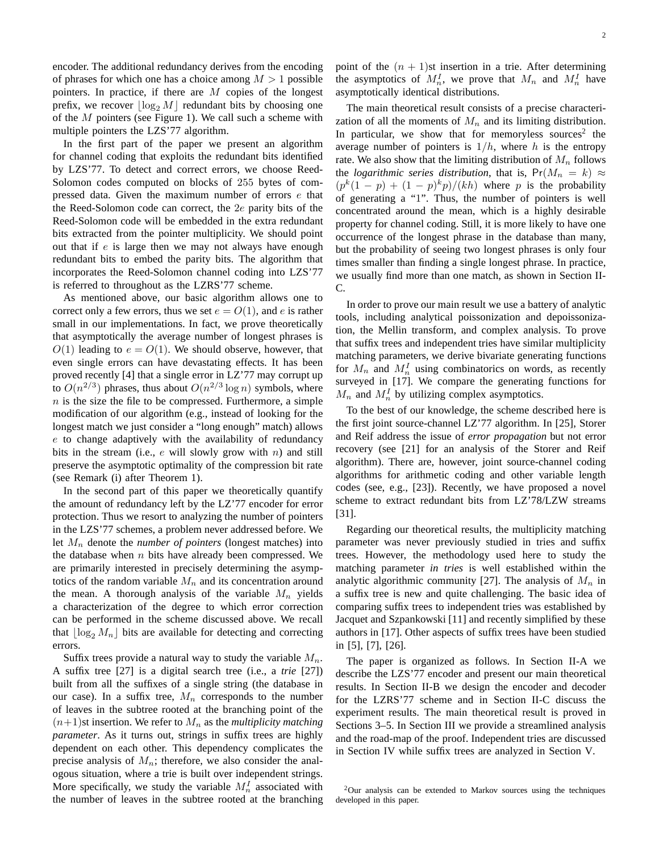encoder. The additional redundancy derives from the encoding of phrases for which one has a choice among  $M > 1$  possible pointers. In practice, if there are  $M$  copies of the longest prefix, we recover  $\log_2 M$  redundant bits by choosing one of the  $M$  pointers (see Figure 1). We call such a scheme with multiple pointers the LZS'77 algorithm.

In the first part of the paper we present an algorithm for channel coding that exploits the redundant bits identified by LZS'77. To detect and correct errors, we choose Reed-Solomon codes computed on blocks of 255 bytes of compressed data. Given the maximum number of errors e that the Reed-Solomon code can correct, the 2e parity bits of the Reed-Solomon code will be embedded in the extra redundant bits extracted from the pointer multiplicity. We should point out that if  $e$  is large then we may not always have enough redundant bits to embed the parity bits. The algorithm that incorporates the Reed-Solomon channel coding into LZS'77 is referred to throughout as the LZRS'77 scheme.

As mentioned above, our basic algorithm allows one to correct only a few errors, thus we set  $e = O(1)$ , and e is rather small in our implementations. In fact, we prove theoretically that asymptotically the average number of longest phrases is  $O(1)$  leading to  $e = O(1)$ . We should observe, however, that even single errors can have devastating effects. It has been proved recently [4] that a single error in LZ'77 may corrupt up to  $O(n^{2/3})$  phrases, thus about  $O(n^{2/3} \log n)$  symbols, where  $n$  is the size the file to be compressed. Furthermore, a simple modification of our algorithm (e.g., instead of looking for the longest match we just consider a "long enough" match) allows e to change adaptively with the availability of redundancy bits in the stream (i.e.,  $e$  will slowly grow with  $n$ ) and still preserve the asymptotic optimality of the compression bit rate (see Remark (i) after Theorem 1).

In the second part of this paper we theoretically quantify the amount of redundancy left by the LZ'77 encoder for error protection. Thus we resort to analyzing the number of pointers in the LZS'77 schemes, a problem never addressed before. We let  $M_n$  denote the *number of pointers* (longest matches) into the database when  $n$  bits have already been compressed. We are primarily interested in precisely determining the asymptotics of the random variable  $M_n$  and its concentration around the mean. A thorough analysis of the variable  $M_n$  yields a characterization of the degree to which error correction can be performed in the scheme discussed above. We recall that  $|\log_2 M_n|$  bits are available for detecting and correcting errors.

Suffix trees provide a natural way to study the variable  $M_n$ . A suffix tree [27] is a digital search tree (i.e., a *trie* [27]) built from all the suffixes of a single string (the database in our case). In a suffix tree,  $M_n$  corresponds to the number of leaves in the subtree rooted at the branching point of the  $(n+1)$ st insertion. We refer to  $M_n$  as the *multiplicity matching parameter*. As it turns out, strings in suffix trees are highly dependent on each other. This dependency complicates the precise analysis of  $M_n$ ; therefore, we also consider the analogous situation, where a trie is built over independent strings. More specifically, we study the variable  $M_n^I$  associated with the number of leaves in the subtree rooted at the branching point of the  $(n + 1)$ st insertion in a trie. After determining the asymptotics of  $M_n^I$ , we prove that  $M_n$  and  $M_n^I$  have asymptotically identical distributions.

The main theoretical result consists of a precise characterization of all the moments of  $M_n$  and its limiting distribution. In particular, we show that for memoryless sources<sup>2</sup> the average number of pointers is  $1/h$ , where h is the entropy rate. We also show that the limiting distribution of  $M_n$  follows the *logarithmic series distribution*, that is,  $Pr(M_n = k) \approx$  $(p^k(1-p) + (1-p)^k p)/(kh)$  where p is the probability of generating a "1". Thus, the number of pointers is well concentrated around the mean, which is a highly desirable property for channel coding. Still, it is more likely to have one occurrence of the longest phrase in the database than many, but the probability of seeing two longest phrases is only four times smaller than finding a single longest phrase. In practice, we usually find more than one match, as shown in Section II-C.

In order to prove our main result we use a battery of analytic tools, including analytical poissonization and depoissonization, the Mellin transform, and complex analysis. To prove that suffix trees and independent tries have similar multiplicity matching parameters, we derive bivariate generating functions for  $M_n$  and  $M_n^I$  using combinatorics on words, as recently surveyed in [17]. We compare the generating functions for  $M_n$  and  $M_n^I$  by utilizing complex asymptotics.

To the best of our knowledge, the scheme described here is the first joint source-channel LZ'77 algorithm. In [25], Storer and Reif address the issue of *error propagation* but not error recovery (see [21] for an analysis of the Storer and Reif algorithm). There are, however, joint source-channel coding algorithms for arithmetic coding and other variable length codes (see, e.g., [23]). Recently, we have proposed a novel scheme to extract redundant bits from LZ'78/LZW streams [31].

Regarding our theoretical results, the multiplicity matching parameter was never previously studied in tries and suffix trees. However, the methodology used here to study the matching parameter *in tries* is well established within the analytic algorithmic community [27]. The analysis of  $M_n$  in a suffix tree is new and quite challenging. The basic idea of comparing suffix trees to independent tries was established by Jacquet and Szpankowski [11] and recently simplified by these authors in [17]. Other aspects of suffix trees have been studied in [5], [7], [26].

The paper is organized as follows. In Section II-A we describe the LZS'77 encoder and present our main theoretical results. In Section II-B we design the encoder and decoder for the LZRS'77 scheme and in Section II-C discuss the experiment results. The main theoretical result is proved in Sections 3–5. In Section III we provide a streamlined analysis and the road-map of the proof. Independent tries are discussed in Section IV while suffix trees are analyzed in Section V.

 $2$ Our analysis can be extended to Markov sources using the techniques developed in this paper.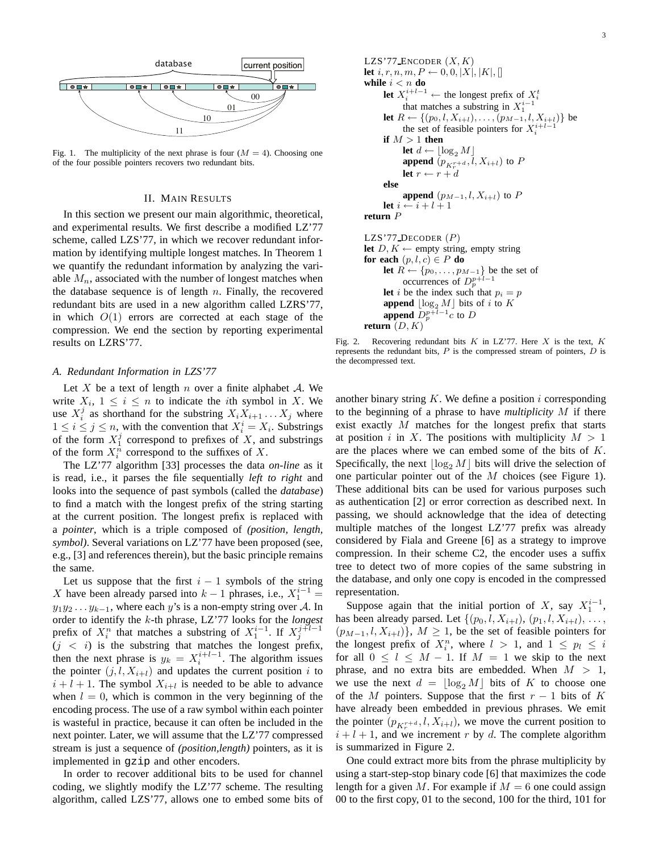

Fig. 1. The multiplicity of the next phrase is four  $(M = 4)$ . Choosing one of the four possible pointers recovers two redundant bits.

#### II. MAIN RESULTS

In this section we present our main algorithmic, theoretical, and experimental results. We first describe a modified LZ'77 scheme, called LZS'77, in which we recover redundant information by identifying multiple longest matches. In Theorem 1 we quantify the redundant information by analyzing the variable  $M_n$ , associated with the number of longest matches when the database sequence is of length  $n$ . Finally, the recovered redundant bits are used in a new algorithm called LZRS'77, in which  $O(1)$  errors are corrected at each stage of the compression. We end the section by reporting experimental results on LZRS'77.

## *A. Redundant Information in LZS'77*

Let  $X$  be a text of length  $n$  over a finite alphabet  $A$ . We write  $X_i$ ,  $1 \leq i \leq n$  to indicate the *i*th symbol in X. We use  $X_i^j$  as shorthand for the substring  $X_i X_{i+1} \dots X_j$  where  $1 \leq i \leq j \leq n$ , with the convention that  $X_i^i = X_i$ . Substrings of the form  $X_1^j$  correspond to prefixes of X, and substrings of the form  $X_i^n$  correspond to the suffixes of X.

The LZ'77 algorithm [33] processes the data *on-line* as it is read, i.e., it parses the file sequentially *left to right* and looks into the sequence of past symbols (called the *database*) to find a match with the longest prefix of the string starting at the current position. The longest prefix is replaced with a *pointer*, which is a triple composed of *(position, length, symbol)*. Several variations on LZ'77 have been proposed (see, e.g., [3] and references therein), but the basic principle remains the same.

Let us suppose that the first  $i - 1$  symbols of the string X have been already parsed into  $k-1$  phrases, i.e.,  $X_1^{i-1}$  =  $y_1y_2 \t ... y_{k-1}$ , where each y's is a non-empty string over A. In order to identify the k-th phrase, LZ'77 looks for the *longest* prefix of  $X_i^n$  that matches a substring of  $X_1^{i-1}$ . If  $X_j^{j+1-1}$  $(j < i)$  is the substring that matches the longest prefix, then the next phrase is  $y_k = X_i^{i+l-1}$ . The algorithm issues the pointer  $(j, l, X_{i+l})$  and updates the current position i to  $i + l + 1$ . The symbol  $X_{i+l}$  is needed to be able to advance when  $l = 0$ , which is common in the very beginning of the encoding process. The use of a raw symbol within each pointer is wasteful in practice, because it can often be included in the next pointer. Later, we will assume that the LZ'77 compressed stream is just a sequence of *(position,length)* pointers, as it is implemented in gzip and other encoders.

In order to recover additional bits to be used for channel coding, we slightly modify the LZ'77 scheme. The resulting algorithm, called LZS'77, allows one to embed some bits of

```
LZS'77_ENCODER (X, K)let i, r, n, m, P \leftarrow 0, 0, |X|, |K|, |while i < n do
      let X_i^{i+l-1} ← the longest prefix of X_i^tthat matches a substring in X_1^{i-1}let R \leftarrow \{(p_0, l, X_{i+l}), \ldots, (p_{M-1}, l, X_{i+l})\} be
            the set of feasible pointers for X_i^{i+l-1}if M > 1 then
            let d \leftarrow \lfloor \log_2 M \rfloorappend (p_{K_r^{r+d}}, l, X_{i+l}) to P
            let r \leftarrow r + delse
            append (p_{M-1}, l, X_{i+l}) to P
      let i \leftarrow i + l + 1return P
LZS'77 DECODER (P)let D, K \leftarrow empty string, empty string
for each (p, l, c) \in P do
      let R \leftarrow \{p_0, \ldots, p_{M-1}\} be the set of
            occurrences of D_p^{p+l-1}let i be the index such that p_i = pappend \lfloor \log_2 M \rfloor bits of i to K
      append \overrightarrow{D_p^{p+l-1}c} to \overrightarrow{D}return (D, K)
```
Fig. 2. Recovering redundant bits  $K$  in LZ'77. Here  $X$  is the text,  $K$ represents the redundant bits,  $P$  is the compressed stream of pointers,  $D$  is the decompressed text.

another binary string  $K$ . We define a position i corresponding to the beginning of a phrase to have *multiplicity* M if there exist exactly  $M$  matches for the longest prefix that starts at position i in X. The positions with multiplicity  $M > 1$ are the places where we can embed some of the bits of K. Specifically, the next  $\log_2 M$  bits will drive the selection of one particular pointer out of the M choices (see Figure 1). These additional bits can be used for various purposes such as authentication [2] or error correction as described next. In passing, we should acknowledge that the idea of detecting multiple matches of the longest LZ'77 prefix was already considered by Fiala and Greene [6] as a strategy to improve compression. In their scheme C2, the encoder uses a suffix tree to detect two of more copies of the same substring in the database, and only one copy is encoded in the compressed representation.

Suppose again that the initial portion of X, say  $X_1^{i-1}$ , has been already parsed. Let  $\{(p_0, l, X_{i+l}), (p_1, l, X_{i+l}), \ldots,$  $(p_{M-1}, l, X_{i+l})\}, M \geq 1$ , be the set of feasible pointers for the longest prefix of  $X_i^n$ , where  $l > 1$ , and  $1 \leq p_l \leq i$ for all  $0 \leq l \leq M - 1$ . If  $M = 1$  we skip to the next phrase, and no extra bits are embedded. When  $M > 1$ , we use the next  $d = \log_2 M$  bits of K to choose one of the M pointers. Suppose that the first  $r - 1$  bits of K have already been embedded in previous phrases. We emit the pointer  $(p_{K_r^{r+d}}, l, X_{i+l})$ , we move the current position to  $i + l + 1$ , and we increment r by d. The complete algorithm is summarized in Figure 2.

One could extract more bits from the phrase multiplicity by using a start-step-stop binary code [6] that maximizes the code length for a given M. For example if  $M = 6$  one could assign 00 to the first copy, 01 to the second, 100 for the third, 101 for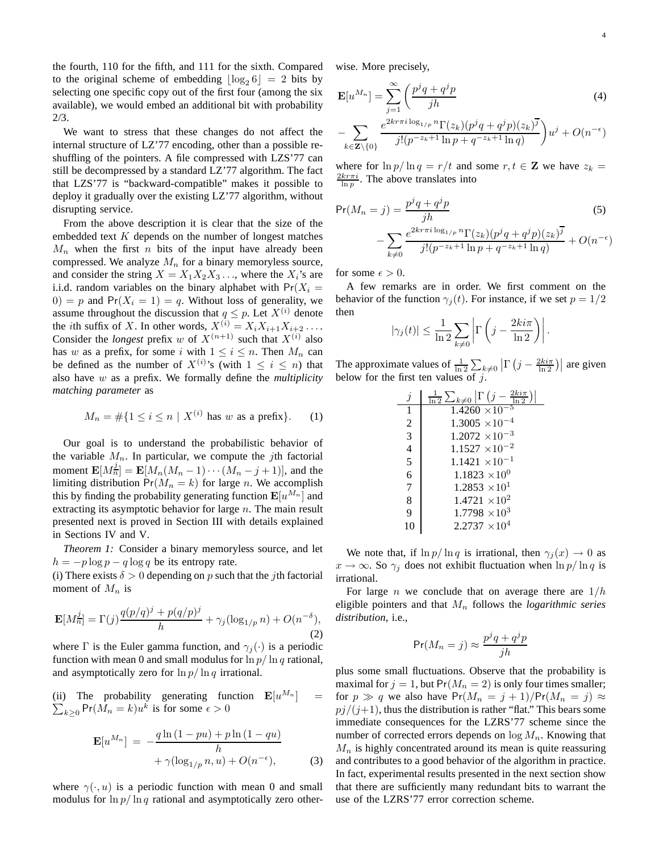the fourth, 110 for the fifth, and 111 for the sixth. Compared to the original scheme of embedding  $\lfloor \log_2 6 \rfloor = 2$  bits by selecting one specific copy out of the first four (among the six available), we would embed an additional bit with probability 2/3.

We want to stress that these changes do not affect the internal structure of LZ'77 encoding, other than a possible reshuffling of the pointers. A file compressed with LZS'77 can still be decompressed by a standard LZ'77 algorithm. The fact that LZS'77 is "backward-compatible" makes it possible to deploy it gradually over the existing LZ'77 algorithm, without disrupting service.

From the above description it is clear that the size of the embedded text  $K$  depends on the number of longest matches  $M_n$  when the first n bits of the input have already been compressed. We analyze  $M_n$  for a binary memoryless source, and consider the string  $X = X_1 X_2 X_3 \dots$ , where the  $X_i$ 's are i.i.d. random variables on the binary alphabet with  $Pr(X_i =$  $0) = p$  and  $Pr(X_i = 1) = q$ . Without loss of generality, we assume throughout the discussion that  $q \leq p$ . Let  $X^{(i)}$  denote the *i*th suffix of X. In other words,  $X^{(i)} = X_i X_{i+1} X_{i+2} \dots$ Consider the *longest* prefix w of  $X^{(n+1)}$  such that  $X^{(i)}$  also has w as a prefix, for some i with  $1 \leq i \leq n$ . Then  $M_n$  can be defined as the number of  $X^{(i)}$ 's (with  $1 \leq i \leq n$ ) that also have w as a prefix. We formally define the *multiplicity matching parameter* as

$$
M_n = \#\{1 \le i \le n \mid X^{(i)} \text{ has } w \text{ as a prefix}\}.
$$
 (1)

Our goal is to understand the probabilistic behavior of the variable  $M_n$ . In particular, we compute the *j*th factorial moment  $\mathbf{E}[M_n^j] = \mathbf{E}[M_n(M_n-1)\cdots(M_n-j+1)],$  and the limiting distribution  $Pr(M_n = k)$  for large n. We accomplish this by finding the probability generating function  $\mathbf{E}[u^{M_n}]$  and extracting its asymptotic behavior for large  $n$ . The main result presented next is proved in Section III with details explained in Sections IV and V.

*Theorem 1:* Consider a binary memoryless source, and let  $h = -p \log p - q \log q$  be its entropy rate.

(i) There exists  $\delta > 0$  depending on p such that the jth factorial moment of  $M_n$  is

$$
\mathbf{E}[M_{n}^{\underline{j}}] = \Gamma(j)\frac{q(p/q)^{j} + p(q/p)^{j}}{h} + \gamma_j(\log_{1/p} n) + O(n^{-\delta}),
$$
\n(2)

where  $\Gamma$  is the Euler gamma function, and  $\gamma_i(\cdot)$  is a periodic function with mean 0 and small modulus for  $\ln p / \ln q$  rational, and asymptotically zero for  $\ln p / \ln q$  irrational.

(ii) The probability generating function  $\mathbf{E}[u^{M_n}]$  $=$  $_{k\geq 0}$  Pr( $M_n = k$ ) $u^k$  is for some  $\epsilon > 0$ 

$$
\mathbf{E}[u^{M_n}] = -\frac{q \ln(1 - pu) + p \ln(1 - qu)}{h}
$$
  
 
$$
+ \gamma (\log_{1/p} n, u) + O(n^{-\epsilon}), \tag{3}
$$

where  $\gamma(\cdot, u)$  is a periodic function with mean 0 and small modulus for  $\ln p / \ln q$  rational and asymptotically zero otherwise. More precisely,

$$
\mathbf{E}[u^{M_n}] = \sum_{j=1}^{\infty} \left( \frac{p^j q + q^j p}{jh} \right)
$$
(4)

$$
-\sum_{k\in\mathbf{Z}\backslash\{0\}}\frac{e^{2kr\pi i\log_{1/p}n}\Gamma(z_k)(p^jq+q^jp)(z_k)^{\overline{j}}}{j!(p^{-z_k+1}\ln p+q^{-z_k+1}\ln q)}u^j+O(n^{-\epsilon})
$$

where for  $\ln p / \ln q = r/t$  and some  $r, t \in \mathbb{Z}$  we have  $z_k =$  $\frac{2kr\pi i}{\ln p}$ . The above translates into

$$
\Pr(M_n = j) = \frac{p^j q + q^j p}{jh} \tag{5}
$$
\n
$$
- \sum_{k \neq 0} \frac{e^{2kr \pi i \log_{1/p} n} \Gamma(z_k) (p^j q + q^j p)(z_k)^{\overline{j}}}{j! (p^{-z_k + 1} \ln p + q^{-z_k + 1} \ln q)} + O(n^{-\epsilon})
$$

for some  $\epsilon > 0$ .

A few remarks are in order. We first comment on the behavior of the function  $\gamma_i(t)$ . For instance, if we set  $p = 1/2$ then

$$
|\gamma_j(t)| \leq \frac{1}{\ln 2} \sum_{k \neq 0} \left| \Gamma \left( j - \frac{2k i \pi}{\ln 2} \right) \right|.
$$

The approximate values of  $\frac{1}{\ln 2} \sum_{k\neq 0} |\Gamma(j - \frac{2ki\pi}{\ln 2})|$  are given below for the first ten values of  $j$ .

| $\boldsymbol{\eta}$ | $2k i\pi$<br>$\frac{1}{\ln 2} \sum_{k\neq 0}$ $\left  \Gamma \left( j - \right) \right $ |
|---------------------|------------------------------------------------------------------------------------------|
| 1                   | $1.4260 \times 10^{-5}$                                                                  |
| $\overline{2}$      | $1.3005 \times 10^{-4}$                                                                  |
| $\overline{3}$      | $1.2072 \times 10^{-3}$                                                                  |
| $\overline{4}$      | $1.1527 \times 10^{-2}$                                                                  |
| 5                   | $1.1421 \times 10^{-1}$                                                                  |
| $\overline{6}$      | $1.1823 \times 10^{0}$                                                                   |
| $\overline{7}$      | $1.2853 \times 10^{1}$                                                                   |
| 8                   | $1.4721 \times 10^{2}$                                                                   |
| $\overline{9}$      | $1.7798 \times 10^3$                                                                     |
|                     | $2.2737 \times 10^{4}$                                                                   |

We note that, if  $\ln p / \ln q$  is irrational, then  $\gamma_i(x) \to 0$  as  $x \to \infty$ . So  $\gamma_j$  does not exhibit fluctuation when  $\ln p / \ln q$  is irrational.

For large *n* we conclude that on average there are  $1/h$ eligible pointers and that  $M_n$  follows the *logarithmic series distribution*, i.e.,

$$
\Pr(M_n = j) \approx \frac{p^j q + q^j p}{jh}
$$

plus some small fluctuations. Observe that the probability is maximal for  $j = 1$ , but  $Pr(M_n = 2)$  is only four times smaller; for  $p \gg q$  we also have  $Pr(M_n = j + 1)/Pr(M_n = j) \approx$  $pj/(j+1)$ , thus the distribution is rather "flat." This bears some immediate consequences for the LZRS'77 scheme since the number of corrected errors depends on  $\log M_n$ . Knowing that  $M_n$  is highly concentrated around its mean is quite reassuring and contributes to a good behavior of the algorithm in practice. In fact, experimental results presented in the next section show that there are sufficiently many redundant bits to warrant the use of the LZRS'77 error correction scheme.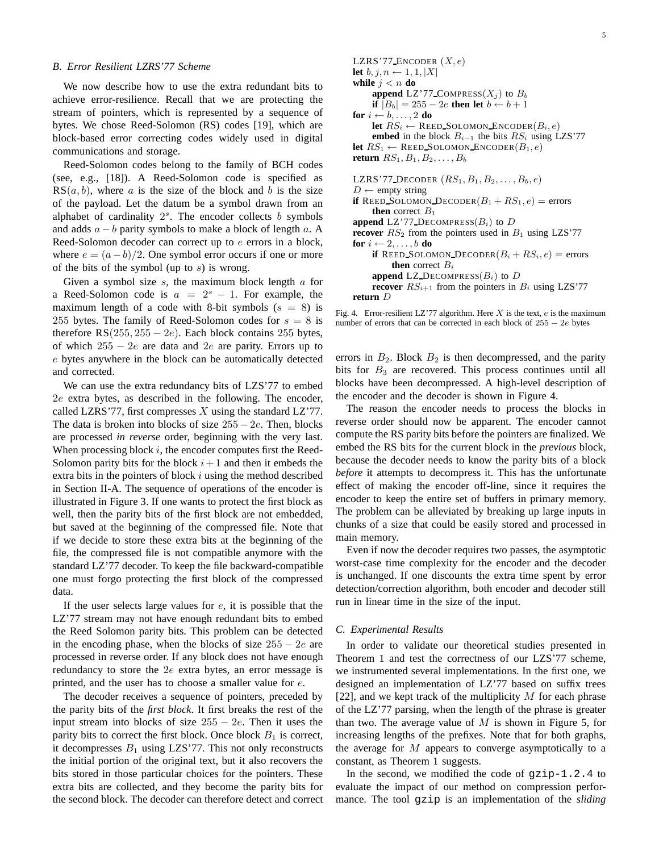### *B. Error Resilient LZRS'77 Scheme*

We now describe how to use the extra redundant bits to achieve error-resilience. Recall that we are protecting the stream of pointers, which is represented by a sequence of bytes. We chose Reed-Solomon (RS) codes [19], which are block-based error correcting codes widely used in digital communications and storage.

Reed-Solomon codes belong to the family of BCH codes (see, e.g., [18]). A Reed-Solomon code is specified as  $RS(a, b)$ , where a is the size of the block and b is the size of the payload. Let the datum be a symbol drawn from an alphabet of cardinality  $2<sup>s</sup>$ . The encoder collects b symbols and adds  $a - b$  parity symbols to make a block of length a. A Reed-Solomon decoder can correct up to  $e$  errors in a block, where  $e = (a - b)/2$ . One symbol error occurs if one or more of the bits of the symbol (up to  $s$ ) is wrong.

Given a symbol size  $s$ , the maximum block length  $a$  for a Reed-Solomon code is  $a = 2<sup>s</sup> - 1$ . For example, the maximum length of a code with 8-bit symbols  $(s = 8)$  is 255 bytes. The family of Reed-Solomon codes for  $s = 8$  is therefore RS(255, 255 – 2e). Each block contains 255 bytes, of which  $255 - 2e$  are data and 2e are parity. Errors up to e bytes anywhere in the block can be automatically detected and corrected.

We can use the extra redundancy bits of LZS'77 to embed 2e extra bytes, as described in the following. The encoder, called LZRS'77, first compresses X using the standard LZ'77. The data is broken into blocks of size  $255 - 2e$ . Then, blocks are processed *in reverse* order, beginning with the very last. When processing block  $i$ , the encoder computes first the Reed-Solomon parity bits for the block  $i+1$  and then it embeds the extra bits in the pointers of block  $i$  using the method described in Section II-A. The sequence of operations of the encoder is illustrated in Figure 3. If one wants to protect the first block as well, then the parity bits of the first block are not embedded, but saved at the beginning of the compressed file. Note that if we decide to store these extra bits at the beginning of the file, the compressed file is not compatible anymore with the standard LZ'77 decoder. To keep the file backward-compatible one must forgo protecting the first block of the compressed data.

If the user selects large values for  $e$ , it is possible that the LZ'77 stream may not have enough redundant bits to embed the Reed Solomon parity bits. This problem can be detected in the encoding phase, when the blocks of size  $255 - 2e$  are processed in reverse order. If any block does not have enough redundancy to store the 2e extra bytes, an error message is printed, and the user has to choose a smaller value for e.

The decoder receives a sequence of pointers, preceded by the parity bits of the *first block*. It first breaks the rest of the input stream into blocks of size  $255 - 2e$ . Then it uses the parity bits to correct the first block. Once block  $B_1$  is correct, it decompresses  $B_1$  using LZS'77. This not only reconstructs the initial portion of the original text, but it also recovers the bits stored in those particular choices for the pointers. These extra bits are collected, and they become the parity bits for the second block. The decoder can therefore detect and correct

LZRS'77 ENCODER  $(X, e)$ **let**  $b, j, n \leftarrow 1, 1, |X|$ **while**  $j < n$  **do append** LZ'77 COMPRESS( $X_i$ ) to  $B_b$ **if**  $|B_b| = 255 - 2e$  **then let**  $b \leftarrow b + 1$ **for**  $i \leftarrow b, \ldots, 2$  **do let**  $RS_i \leftarrow$  REED\_SOLOMON\_ENCODER( $B_i, e$ ) **embed** in the block  $B_{i-1}$  the bits  $RS_i$  using LZS'77 **let**  $RS_1 \leftarrow$  REED SOLOMON ENCODER $(B_1, e)$ **return**  $RS_1, B_1, B_2, \ldots, B_b$ LZRS'77 DECODER  $(RS_1, B_1, B_2, \ldots, B_b, e)$  $D \leftarrow$  empty string **if** REED SOLOMON DECODER $(B_1 + RS_1, e)$  = errors **then** correct  $B_1$ **append** LZ'77\_DECOMPRESS( $B_i$ ) to D **recover**  $RS_2$  from the pointers used in  $B_1$  using LZS'77 **for**  $i \leftarrow 2, \ldots, b$  **do if** REED SOLOMON DECODER $(B_i + RS_i, e)$  = errors **then** correct  $B_i$ **append** LZ\_DECOMPRESS( $B_i$ ) to  $D$ **recover**  $RS_{i+1}$  from the pointers in  $B_i$  using LZS'77

**return** D

Fig. 4. Error-resilient LZ'77 algorithm. Here  $X$  is the text,  $e$  is the maximum number of errors that can be corrected in each block of  $255 - 2e$  bytes

errors in  $B_2$ . Block  $B_2$  is then decompressed, and the parity bits for  $B_3$  are recovered. This process continues until all blocks have been decompressed. A high-level description of the encoder and the decoder is shown in Figure 4.

The reason the encoder needs to process the blocks in reverse order should now be apparent. The encoder cannot compute the RS parity bits before the pointers are finalized. We embed the RS bits for the current block in the *previous* block, because the decoder needs to know the parity bits of a block *before* it attempts to decompress it. This has the unfortunate effect of making the encoder off-line, since it requires the encoder to keep the entire set of buffers in primary memory. The problem can be alleviated by breaking up large inputs in chunks of a size that could be easily stored and processed in main memory.

Even if now the decoder requires two passes, the asymptotic worst-case time complexity for the encoder and the decoder is unchanged. If one discounts the extra time spent by error detection/correction algorithm, both encoder and decoder still run in linear time in the size of the input.

## *C. Experimental Results*

In order to validate our theoretical studies presented in Theorem 1 and test the correctness of our LZS'77 scheme, we instrumented several implementations. In the first one, we designed an implementation of LZ'77 based on suffix trees [22], and we kept track of the multiplicity  $M$  for each phrase of the LZ'77 parsing, when the length of the phrase is greater than two. The average value of  $M$  is shown in Figure 5, for increasing lengths of the prefixes. Note that for both graphs, the average for M appears to converge asymptotically to a constant, as Theorem 1 suggests.

In the second, we modified the code of  $gzip-1.2.4$  to evaluate the impact of our method on compression performance. The tool gzip is an implementation of the *sliding*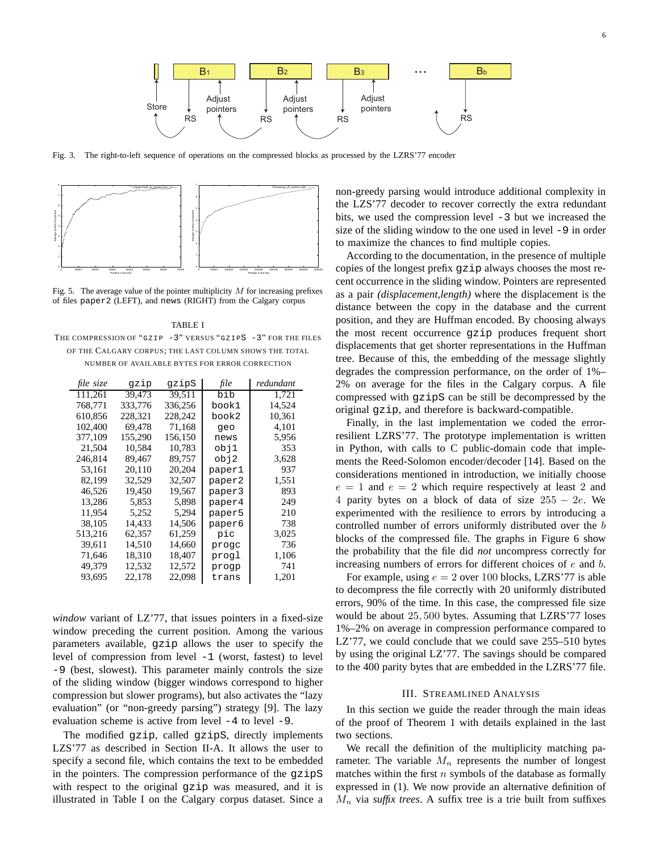

Fig. 3. The right-to-left sequence of operations on the compressed blocks as processed by the LZRS'77 encoder



Fig. 5. The average value of the pointer multiplicity  $M$  for increasing prefixes of files paper2 (LEFT), and news (RIGHT) from the Calgary corpus

TABLE I THE COMPRESSION OF "GZIP -3" VERSUS "GZIPS -3" FOR THE FILES OF THE CALGARY CORPUS; THE LAST COLUMN SHOWS THE TOTAL NUMBER OF AVAILABLE BYTES FOR ERROR CORRECTION

| file size | gzip    | gzipS   | file   | redundant |
|-----------|---------|---------|--------|-----------|
| 111,261   | 39,473  | 39,511  | bib    | 1,721     |
| 768.771   | 333.776 | 336,256 | book1  | 14,524    |
| 610,856   | 228,321 | 228,242 | book2  | 10,361    |
| 102,400   | 69.478  | 71,168  | qeo    | 4,101     |
| 377,109   | 155,290 | 156,150 | news   | 5,956     |
| 21.504    | 10.584  | 10,783  | obj1   | 353       |
| 246.814   | 89.467  | 89.757  | obj2   | 3,628     |
| 53,161    | 20,110  | 20,204  | paper1 | 937       |
| 82,199    | 32,529  | 32,507  | paper2 | 1,551     |
| 46,526    | 19,450  | 19,567  | paper3 | 893       |
| 13,286    | 5,853   | 5,898   | paper4 | 249       |
| 11.954    | 5,252   | 5.294   | paper5 | 210       |
| 38.105    | 14,433  | 14,506  | paper6 | 738       |
| 513,216   | 62,357  | 61,259  | pic    | 3,025     |
| 39,611    | 14,510  | 14,660  | progc  | 736       |
| 71,646    | 18,310  | 18,407  | proql  | 1,106     |
| 49,379    | 12,532  | 12,572  | proqp  | 741       |
| 93,695    | 22,178  | 22,098  | trans  | 1,201     |

*window* variant of LZ'77, that issues pointers in a fixed-size window preceding the current position. Among the various parameters available, gzip allows the user to specify the level of compression from level -1 (worst, fastest) to level -9 (best, slowest). This parameter mainly controls the size of the sliding window (bigger windows correspond to higher compression but slower programs), but also activates the "lazy evaluation" (or "non-greedy parsing") strategy [9]. The lazy evaluation scheme is active from level -4 to level -9.

The modified gzip, called gzipS, directly implements LZS'77 as described in Section II-A. It allows the user to specify a second file, which contains the text to be embedded in the pointers. The compression performance of the gzipS with respect to the original gzip was measured, and it is illustrated in Table I on the Calgary corpus dataset. Since a

non-greedy parsing would introduce additional complexity in the LZS'77 decoder to recover correctly the extra redundant bits, we used the compression level -3 but we increased the size of the sliding window to the one used in level -9 in order to maximize the chances to find multiple copies.

According to the documentation, in the presence of multiple copies of the longest prefix gzip always chooses the most recent occurrence in the sliding window. Pointers are represented as a pair *(displacement,length)* where the displacement is the distance between the copy in the database and the current position, and they are Huffman encoded. By choosing always the most recent occurrence gzip produces frequent short displacements that get shorter representations in the Huffman tree. Because of this, the embedding of the message slightly degrades the compression performance, on the order of 1%– 2% on average for the files in the Calgary corpus. A file compressed with gzipS can be still be decompressed by the original gzip, and therefore is backward-compatible.

Finally, in the last implementation we coded the errorresilient LZRS'77. The prototype implementation is written in Python, with calls to C public-domain code that implements the Reed-Solomon encoder/decoder [14]. Based on the considerations mentioned in introduction, we initially choose  $e = 1$  and  $e = 2$  which require respectively at least 2 and 4 parity bytes on a block of data of size  $255 - 2e$ . We experimented with the resilience to errors by introducing a controlled number of errors uniformly distributed over the b blocks of the compressed file. The graphs in Figure 6 show the probability that the file did *not* uncompress correctly for increasing numbers of errors for different choices of e and b.

For example, using  $e = 2$  over 100 blocks, LZRS'77 is able to decompress the file correctly with 20 uniformly distributed errors, 90% of the time. In this case, the compressed file size would be about 25, 500 bytes. Assuming that LZRS'77 loses 1%–2% on average in compression performance compared to LZ'77, we could conclude that we could save 255–510 bytes by using the original LZ'77. The savings should be compared to the 400 parity bytes that are embedded in the LZRS'77 file.

## III. STREAMLINED ANALYSIS

In this section we guide the reader through the main ideas of the proof of Theorem 1 with details explained in the last two sections.

We recall the definition of the multiplicity matching parameter. The variable  $M_n$  represents the number of longest matches within the first  $n$  symbols of the database as formally expressed in (1). We now provide an alternative definition of  $M_n$  via *suffix trees*. A suffix tree is a trie built from suffixes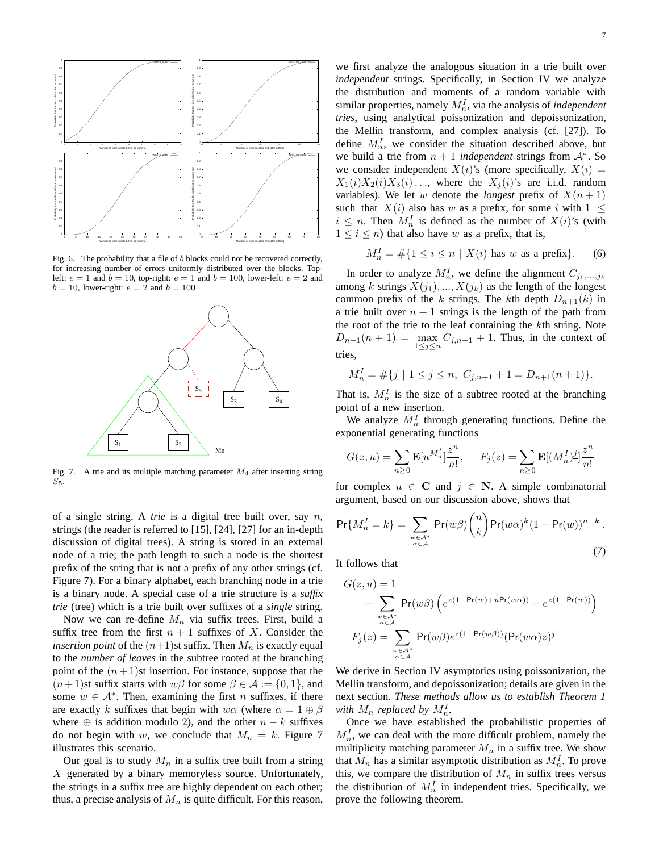

Fig. 6. The probability that a file of b blocks could not be recovered correctly, for increasing number of errors uniformly distributed over the blocks. Topleft:  $e = 1$  and  $b = 10$ , top-right:  $e = 1$  and  $b = 100$ , lower-left:  $e = 2$  and  $b = 10$ , lower-right:  $e = 2$  and  $b = 100$ 



Fig. 7. A trie and its multiple matching parameter  $M_4$  after inserting string  $S_5$ .

of a single string. A *trie* is a digital tree built over, say n, strings (the reader is referred to [15], [24], [27] for an in-depth discussion of digital trees). A string is stored in an external node of a trie; the path length to such a node is the shortest prefix of the string that is not a prefix of any other strings (cf. Figure 7). For a binary alphabet, each branching node in a trie is a binary node. A special case of a trie structure is a *suffix trie* (tree) which is a trie built over suffixes of a *single* string.

Now we can re-define  $M_n$  via suffix trees. First, build a suffix tree from the first  $n + 1$  suffixes of X. Consider the *insertion point* of the  $(n+1)$ st suffix. Then  $M_n$  is exactly equal to the *number of leaves* in the subtree rooted at the branching point of the  $(n+1)$ st insertion. For instance, suppose that the  $(n+1)$ st suffix starts with  $w\beta$  for some  $\beta \in \mathcal{A} := \{0, 1\}$ , and some  $w \in A^*$ . Then, examining the first n suffixes, if there are exactly k suffixes that begin with  $w\alpha$  (where  $\alpha = 1 \oplus \beta$ where  $\oplus$  is addition modulo 2), and the other  $n - k$  suffixes do not begin with w, we conclude that  $M_n = k$ . Figure 7 illustrates this scenario.

Our goal is to study  $M_n$  in a suffix tree built from a string  $X$  generated by a binary memoryless source. Unfortunately, the strings in a suffix tree are highly dependent on each other; thus, a precise analysis of  $M_n$  is quite difficult. For this reason,

we first analyze the analogous situation in a trie built over *independent* strings. Specifically, in Section IV we analyze the distribution and moments of a random variable with similar properties, namely  $M_n^I$ , via the analysis of *independent tries*, using analytical poissonization and depoissonization, the Mellin transform, and complex analysis (cf. [27]). To define  $M_n^I$ , we consider the situation described above, but we build a trie from  $n + 1$  *independent* strings from  $A^*$ . So we consider independent  $X(i)$ 's (more specifically,  $X(i) =$  $X_1(i)X_2(i)X_3(i)...$ , where the  $X_i(i)$ 's are i.i.d. random variables). We let w denote the *longest* prefix of  $X(n+1)$ such that  $X(i)$  also has w as a prefix, for some i with  $1 \leq$  $i \leq n$ . Then  $M_n^I$  is defined as the number of  $X(i)$ 's (with  $1 \leq i \leq n$ ) that also have w as a prefix, that is,

$$
M_n^I = \# \{ 1 \le i \le n \mid X(i) \text{ has } w \text{ as a prefix} \}. \tag{6}
$$

In order to analyze  $M_n^I$ , we define the alignment  $C_{j_1,...,j_k}$ among k strings  $X(j_1), ..., X(j_k)$  as the length of the longest common prefix of the k strings. The kth depth  $D_{n+1}(k)$  in a trie built over  $n + 1$  strings is the length of the path from the root of the trie to the leaf containing the kth string. Note  $D_{n+1}(n+1) = \max_{1 \le j \le n} C_{j,n+1} + 1$ . Thus, in the context of tries,

$$
M_n^I = \# \{ j \mid 1 \le j \le n, \ C_{j,n+1} + 1 = D_{n+1}(n+1) \}.
$$

That is,  $M_n^I$  is the size of a subtree rooted at the branching point of a new insertion.

We analyze  $M_n^I$  through generating functions. Define the exponential generating functions

$$
G(z, u) = \sum_{n \ge 0} \mathbf{E}[u^{M_n^I}] \frac{z^n}{n!}, \quad F_j(z) = \sum_{n \ge 0} \mathbf{E}[(M_n^I)^{\underline{j}}] \frac{z^n}{n!}
$$

for complex  $u \in \mathbf{C}$  and  $j \in \mathbf{N}$ . A simple combinatorial argument, based on our discussion above, shows that

$$
\Pr\{M_n^I = k\} = \sum_{\substack{w \in A^* \\ \alpha \in A}} \Pr(w\beta) \binom{n}{k} \Pr(w\alpha)^k (1 - \Pr(w))^{n-k}.
$$
\n(7)

It follows that

$$
G(z, u) = 1
$$
  
+ 
$$
\sum_{\substack{w \in A^* \\ \alpha \in A}} Pr(w\beta) \left( e^{z(1 - Pr(w) + uPr(w\alpha))} - e^{z(1 - Pr(w))} \right)
$$
  

$$
F_j(z) = \sum_{\substack{w \in A^* \\ \alpha \in A}} Pr(w\beta) e^{z(1 - Pr(w\beta))} (Pr(w\alpha)z)^j
$$

We derive in Section IV asymptotics using poissonization, the Mellin transform, and depoissonization; details are given in the next section. *These methods allow us to establish Theorem 1* with  $M_n$  replaced by  $M_n^I$ .

Once we have established the probabilistic properties of  $M_n^I$ , we can deal with the more difficult problem, namely the multiplicity matching parameter  $M_n$  in a suffix tree. We show that  $M_n$  has a similar asymptotic distribution as  $M_n^I$ . To prove this, we compare the distribution of  $M_n$  in suffix trees versus the distribution of  $M_n^I$  in independent tries. Specifically, we prove the following theorem.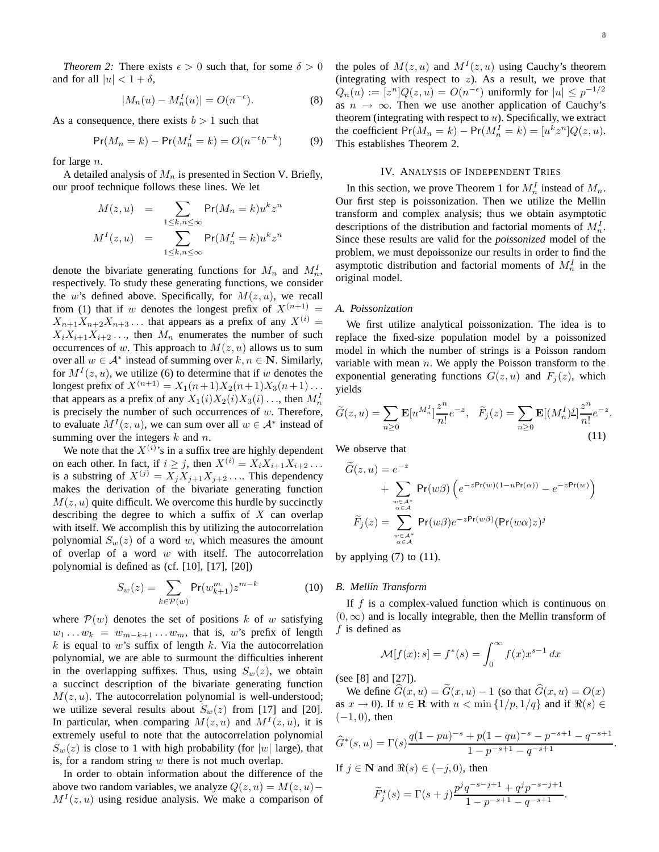*Theorem 2:* There exists  $\epsilon > 0$  such that, for some  $\delta > 0$ and for all  $|u| < 1 + \delta$ ,

$$
|M_n(u) - M_n^I(u)| = O(n^{-\epsilon}).\tag{8}
$$

As a consequence, there exists  $b > 1$  such that

$$
Pr(M_n = k) - Pr(M_n^I = k) = O(n^{-\epsilon}b^{-k})
$$
 (9)

for large n.

A detailed analysis of  $M_n$  is presented in Section V. Briefly, our proof technique follows these lines. We let

$$
M(z, u) = \sum_{1 \le k, n \le \infty} \Pr(M_n = k) u^k z^n
$$
  

$$
M^I(z, u) = \sum_{1 \le k, n \le \infty} \Pr(M_n^I = k) u^k z^n
$$

denote the bivariate generating functions for  $M_n$  and  $M_n^I$ , respectively. To study these generating functions, we consider the w's defined above. Specifically, for  $M(z, u)$ , we recall from (1) that if w denotes the longest prefix of  $X^{(n+1)}$  =  $X_{n+1}X_{n+2}X_{n+3}$ ... that appears as a prefix of any  $X^{(i)} =$  $X_iX_{i+1}X_{i+2}...$ , then  $M_n$  enumerates the number of such occurrences of w. This approach to  $M(z, u)$  allows us to sum over all  $w \in A^*$  instead of summing over  $k, n \in \mathbb{N}$ . Similarly, for  $M<sup>I</sup>(z, u)$ , we utilize (6) to determine that if w denotes the longest prefix of  $X^{(n+1)} = X_1(n+1)X_2(n+1)X_3(n+1)...$ that appears as a prefix of any  $X_1(i)X_2(i)X_3(i) \dots$ , then  $M_n^I$ is precisely the number of such occurrences of  $w$ . Therefore, to evaluate  $M^I(z, u)$ , we can sum over all  $w \in A^*$  instead of summing over the integers  $k$  and  $n$ .

We note that the  $X^{(i)}$ 's in a suffix tree are highly dependent on each other. In fact, if  $i \geq j$ , then  $X^{(i)} = X_i X_{i+1} X_{i+2} \dots$ is a substring of  $X^{(j)} = X_j X_{j+1} X_{j+2} \dots$  This dependency makes the derivation of the bivariate generating function  $M(z, u)$  quite difficult. We overcome this hurdle by succinctly describing the degree to which a suffix of  $X$  can overlap with itself. We accomplish this by utilizing the autocorrelation polynomial  $S_w(z)$  of a word w, which measures the amount of overlap of a word  $w$  with itself. The autocorrelation polynomial is defined as (cf. [10], [17], [20])

$$
S_w(z) = \sum_{k \in \mathcal{P}(w)} \Pr(w_{k+1}^m) z^{m-k}
$$
 (10)

where  $\mathcal{P}(w)$  denotes the set of positions k of w satisfying  $w_1 \ldots w_k = w_{m-k+1} \ldots w_m$ , that is, w's prefix of length  $k$  is equal to w's suffix of length  $k$ . Via the autocorrelation polynomial, we are able to surmount the difficulties inherent in the overlapping suffixes. Thus, using  $S_w(z)$ , we obtain a succinct description of the bivariate generating function  $M(z, u)$ . The autocorrelation polynomial is well-understood; we utilize several results about  $S_w(z)$  from [17] and [20]. In particular, when comparing  $M(z, u)$  and  $M<sup>I</sup>(z, u)$ , it is extremely useful to note that the autocorrelation polynomial  $S_w(z)$  is close to 1 with high probability (for |w| large), that is, for a random string  $w$  there is not much overlap.

In order to obtain information about the difference of the above two random variables, we analyze  $Q(z, u) = M(z, u) M<sup>I</sup>(z, u)$  using residue analysis. We make a comparison of

the poles of  $M(z, u)$  and  $M<sup>I</sup>(z, u)$  using Cauchy's theorem (integrating with respect to  $z$ ). As a result, we prove that  $Q_n(u) := [z^n]Q(z, u) = O(n^{-\epsilon})$  uniformly for  $|u| \leq p^{-1/2}$ as  $n \to \infty$ . Then we use another application of Cauchy's theorem (integrating with respect to  $u$ ). Specifically, we extract the coefficient  $Pr(M_n = k) - Pr(M_n^I = k) = [u^k z^n] Q(z, u)$ . This establishes Theorem 2.

## IV. ANALYSIS OF INDEPENDENT TRIES

In this section, we prove Theorem 1 for  $M_n^I$  instead of  $M_n$ . Our first step is poissonization. Then we utilize the Mellin transform and complex analysis; thus we obtain asymptotic descriptions of the distribution and factorial moments of  $M_n^I$ . Since these results are valid for the *poissonized* model of the problem, we must depoissonize our results in order to find the asymptotic distribution and factorial moments of  $M_n^I$  in the original model.

#### *A. Poissonization*

We first utilize analytical poissonization. The idea is to replace the fixed-size population model by a poissonized model in which the number of strings is a Poisson random variable with mean  $n$ . We apply the Poisson transform to the exponential generating functions  $G(z, u)$  and  $F<sub>i</sub>(z)$ , which yields

$$
\widetilde{G}(z,u) = \sum_{n\geq 0} \mathbf{E}[u^{M_n'}] \frac{z^n}{n!} e^{-z}, \quad \widetilde{F}_j(z) = \sum_{n\geq 0} \mathbf{E}[(M_n^I)^{\underline{j}}] \frac{z^n}{n!} e^{-z}.
$$
\n(11)

We observe that

$$
\widetilde{G}(z, u) = e^{-z}
$$
  
+ 
$$
\sum_{\substack{w \in A^* \\ \alpha \in A}} Pr(w\beta) \left( e^{-zPr(w)(1 - uPr(\alpha))} - e^{-zPr(w)} \right)
$$
  

$$
\widetilde{F}_j(z) = \sum_{\substack{w \in A^* \\ \alpha \in A}} Pr(w\beta) e^{-zPr(w\beta)} (Pr(w\alpha)z)^j
$$

by applying  $(7)$  to  $(11)$ .

#### *B. Mellin Transform*

If  $f$  is a complex-valued function which is continuous on  $(0, \infty)$  and is locally integrable, then the Mellin transform of f is defined as

$$
\mathcal{M}[f(x);s] = f^*(s) = \int_0^\infty f(x)x^{s-1} dx
$$

(see [8] and [27]).

We define  $\widehat{G}(x, u) = \widetilde{G}(x, u) - 1$  (so that  $\widehat{G}(x, u) = O(x)$ ) as  $x \to 0$ ). If  $u \in \mathbf{R}$  with  $u < \min\{1/p, 1/q\}$  and if  $\Re(s) \in$  $(-1, 0)$ , then

$$
\widehat{G}^*(s, u) = \Gamma(s) \frac{q(1 - pu)^{-s} + p(1 - qu)^{-s} - p^{-s+1} - q^{-s+1}}{1 - p^{-s+1} - q^{-s+1}}.
$$

If  $j \in \mathbb{N}$  and  $\Re(s) \in (-j, 0)$ , then

$$
\widetilde{F}_j^*(s) = \Gamma(s+j) \frac{p^j q^{-s-j+1} + q^j p^{-s-j+1}}{1 - p^{-s+1} - q^{-s+1}}.
$$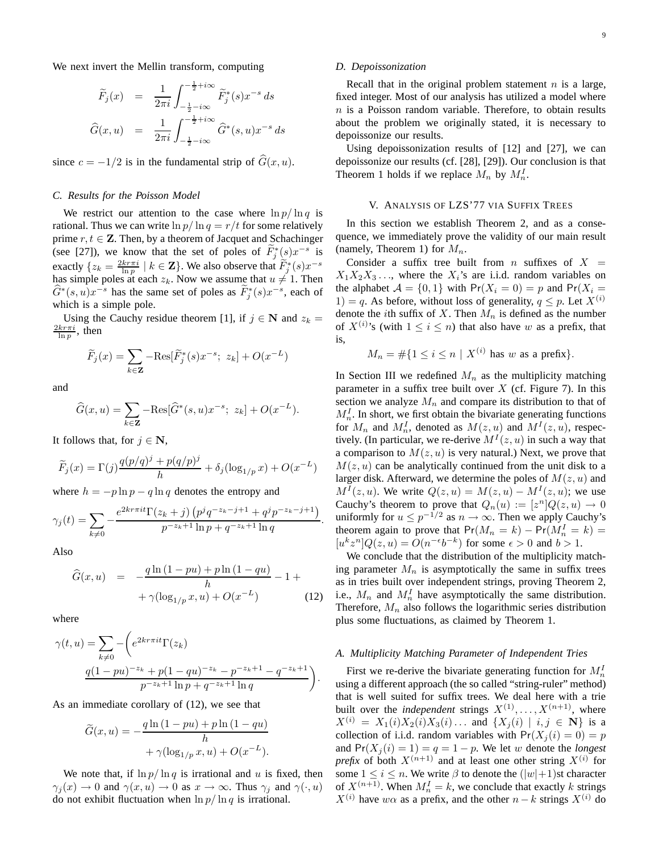We next invert the Mellin transform, computing

$$
\widetilde{F}_j(x) = \frac{1}{2\pi i} \int_{-\frac{1}{2} - i\infty}^{-\frac{1}{2} + i\infty} \widetilde{F}_j^*(s) x^{-s} ds
$$
  

$$
\widehat{G}(x, u) = \frac{1}{2\pi i} \int_{-\frac{1}{2} - i\infty}^{-\frac{1}{2} + i\infty} \widehat{G}^*(s, u) x^{-s} ds
$$

since  $c = -1/2$  is in the fundamental strip of  $\widehat{G}(x, u)$ .

#### *C. Results for the Poisson Model*

We restrict our attention to the case where  $\ln p / \ln q$  is rational. Thus we can write  $\ln p / \ln q = r / t$  for some relatively prime  $r, t \in \mathbb{Z}$ . Then, by a theorem of Jacquet and Schachinger (see [27]), we know that the set of poles of  $\tilde{F}_j^*(s)x^{-s}$  is exactly  $\{z_k = \frac{2kr\pi i}{\ln p} \mid k \in \mathbf{Z}\}\.$  We also observe that  $\widetilde{F}_j^*(s)x^{-s}$ has simple poles at each  $z_k$ . Now we assume that  $u \neq 1$ . Then  $\widehat{G}^*(s, u)x^{-s}$  has the same set of poles as  $\widetilde{F}^*_j(s)x^{-s}$ , each of which is a simple pole.

Using the Cauchy residue theorem [1], if  $j \in \mathbb{N}$  and  $z_k =$  $\frac{2kr\pi i}{\ln p}$ , then

$$
\widetilde{F}_j(x) = \sum_{k \in \mathbf{Z}} -\text{Res}[\widetilde{F}_j^*(s)x^{-s}; \ z_k] + O(x^{-L})
$$

and

$$
\widehat{G}(x, u) = \sum_{k \in \mathbf{Z}} -\text{Res}[\widehat{G}^*(s, u)x^{-s}; z_k] + O(x^{-L}).
$$

It follows that, for  $j \in \mathbb{N}$ ,

$$
\widetilde{F}_j(x) = \Gamma(j) \frac{q(p/q)^j + p(q/p)^j}{h} + \delta_j(\log_{1/p} x) + O(x^{-L})
$$

where  $h = -p \ln p - q \ln q$  denotes the entropy and

$$
\gamma_j(t) = \sum_{k \neq 0} -\frac{e^{2kr \pi i t} \Gamma(z_k + j) \left( p^j q^{-z_k - j + 1} + q^j p^{-z_k - j + 1} \right)}{p^{-z_k + 1} \ln p + q^{-z_k + 1} \ln q}
$$

.

Also

$$
\widehat{G}(x, u) = -\frac{q \ln (1 - pu) + p \ln (1 - qu)}{h} - 1 +
$$
  
 
$$
+ \gamma (\log_{1/p} x, u) + O(x^{-L})
$$
 (12)

where

$$
\gamma(t, u) = \sum_{k \neq 0} -\left(e^{2k r \pi i t} \Gamma(z_k)\right)
$$

$$
\frac{q(1 - pu)^{-z_k} + p(1 - qu)^{-z_k} - p^{-z_k + 1} - q^{-z_k + 1}}{p^{-z_k + 1} \ln p + q^{-z_k + 1} \ln q}\right).
$$

As an immediate corollary of (12), we see that

$$
\widetilde{G}(x, u) = -\frac{q \ln(1 - pu) + p \ln(1 - qu)}{h}
$$

$$
+ \gamma (\log_{1/p} x, u) + O(x^{-L}).
$$

We note that, if  $\ln p / \ln q$  is irrational and u is fixed, then  $\gamma_i(x) \to 0$  and  $\gamma(x, u) \to 0$  as  $x \to \infty$ . Thus  $\gamma_i$  and  $\gamma(\cdot, u)$ do not exhibit fluctuation when  $\ln p / \ln q$  is irrational.

#### *D. Depoissonization*

Recall that in the original problem statement  $n$  is a large, fixed integer. Most of our analysis has utilized a model where  $n$  is a Poisson random variable. Therefore, to obtain results about the problem we originally stated, it is necessary to depoissonize our results.

Using depoissonization results of [12] and [27], we can depoissonize our results (cf. [28], [29]). Our conclusion is that Theorem 1 holds if we replace  $M_n$  by  $M_n^I$ .

#### V. ANALYSIS OF LZS'77 VIA SUFFIX TREES

In this section we establish Theorem 2, and as a consequence, we immediately prove the validity of our main result (namely, Theorem 1) for  $M_n$ .

Consider a suffix tree built from n suffixes of  $X =$  $X_1X_2X_3\ldots$ , where the  $X_i$ 's are i.i.d. random variables on the alphabet  $A = \{0, 1\}$  with  $Pr(X_i = 0) = p$  and  $Pr(X_i = 1)$ 1) = q. As before, without loss of generality,  $q \leq p$ . Let  $X^{(i)}$ denote the *i*th suffix of X. Then  $M_n$  is defined as the number of  $X^{(i)}$ 's (with  $1 \leq i \leq n$ ) that also have w as a prefix, that is,

$$
M_n = \#\{1 \le i \le n \mid X^{(i)} \text{ has } w \text{ as a prefix}\}.
$$

In Section III we redefined  $M_n$  as the multiplicity matching parameter in a suffix tree built over  $X$  (cf. Figure 7). In this section we analyze  $M_n$  and compare its distribution to that of  $M_n^I$ . In short, we first obtain the bivariate generating functions for  $M_n$  and  $M_n^I$ , denoted as  $M(z, u)$  and  $M^I(z, u)$ , respectively. (In particular, we re-derive  $M<sup>I</sup>(z, u)$  in such a way that a comparison to  $M(z, u)$  is very natural.) Next, we prove that  $M(z, u)$  can be analytically continued from the unit disk to a larger disk. Afterward, we determine the poles of  $M(z, u)$  and  $M<sup>I</sup>(z, u)$ . We write  $Q(z, u) = M(z, u) - M<sup>I</sup>(z, u)$ ; we use Cauchy's theorem to prove that  $Q_n(u) := [z^n]Q(z, u) \to 0$ uniformly for  $u \leq p^{-1/2}$  as  $n \to \infty$ . Then we apply Cauchy's theorem again to prove that  $Pr(M_n = k) - Pr(M_n^I = k)$  $[u^k z^n] Q(z, u) = O(n^{-\epsilon} b^{-k})$  for some  $\epsilon > 0$  and  $b > 1$ .

We conclude that the distribution of the multiplicity matching parameter  $M_n$  is asymptotically the same in suffix trees as in tries built over independent strings, proving Theorem 2, i.e.,  $M_n$  and  $M_n^I$  have asymptotically the same distribution. Therefore,  $M_n$  also follows the logarithmic series distribution plus some fluctuations, as claimed by Theorem 1.

#### *A. Multiplicity Matching Parameter of Independent Tries*

First we re-derive the bivariate generating function for  $M_n^I$ using a different approach (the so called "string-ruler" method) that is well suited for suffix trees. We deal here with a trie built over the *independent* strings  $X^{(1)}, \ldots, X^{(n+1)}$ , where  $X^{(i)} = X_1(i)X_2(i)X_3(i) \dots$  and  $\{X_i(i) | i, j \in \mathbb{N}\}\$ is a collection of i.i.d. random variables with  $Pr(X_i(i) = 0) = p$ and  $Pr(X_i(i) = 1) = q = 1 - p$ . We let w denote the *longest prefix* of both  $X^{(n+1)}$  and at least one other string  $X^{(i)}$  for some  $1 \leq i \leq n$ . We write  $\beta$  to denote the  $(|w|+1)$ st character of  $X^{(n+1)}$ . When  $M_n^I = k$ , we conclude that exactly k strings  $X^{(i)}$  have w $\alpha$  as a prefix, and the other  $n - k$  strings  $X^{(i)}$  do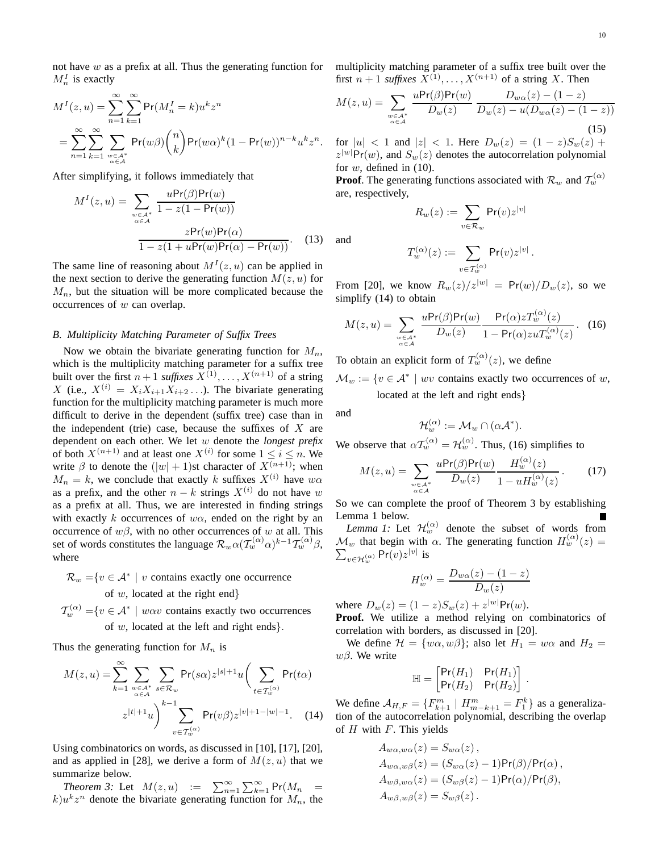not have  $w$  as a prefix at all. Thus the generating function for  $M_n^I$  is exactly

$$
M^{I}(z, u) = \sum_{n=1}^{\infty} \sum_{k=1}^{\infty} \Pr(M_{n}^{I} = k) u^{k} z^{n}
$$
  
= 
$$
\sum_{n=1}^{\infty} \sum_{k=1}^{\infty} \sum_{\substack{w \in A^{*} \\ \alpha \in A}} \Pr(w\beta) {n \choose k} \Pr(w\alpha)^{k} (1 - \Pr(w))^{n-k} u^{k} z^{n}.
$$

After simplifying, it follows immediately that

$$
M^{I}(z, u) = \sum_{\substack{w \in A^{*} \\ \alpha \in A}} \frac{uPr(\beta)Pr(w)}{1 - z(1 - Pr(w))}
$$

$$
\frac{zPr(w)Pr(\alpha)}{1 - z(1 + uPr(w)Pr(\alpha) - Pr(w))}.
$$
(13)

The same line of reasoning about  $M<sup>I</sup>(z, u)$  can be applied in the next section to derive the generating function  $M(z, u)$  for  $M_n$ , but the situation will be more complicated because the occurrences of w can overlap.

#### *B. Multiplicity Matching Parameter of Suffix Trees*

Now we obtain the bivariate generating function for  $M_n$ , which is the multiplicity matching parameter for a suffix tree built over the first  $n+1$  *suffixes*  $X^{(1)}, \ldots, X^{(n+1)}$  of a string X (i.e.,  $X^{(i)} = X_i X_{i+1} X_{i+2} \dots$ ). The bivariate generating function for the multiplicity matching parameter is much more difficult to derive in the dependent (suffix tree) case than in the independent (trie) case, because the suffixes of  $X$  are dependent on each other. We let w denote the *longest prefix* of both  $X^{(n+1)}$  and at least one  $X^{(i)}$  for some  $1 \le i \le n$ . We write  $\beta$  to denote the  $(|w| + 1)$ st character of  $X^{(n+1)}$ ; when  $M_n = k$ , we conclude that exactly k suffixes  $X^{(i)}$  have  $w\alpha$ as a prefix, and the other  $n - k$  strings  $X^{(i)}$  do not have w as a prefix at all. Thus, we are interested in finding strings with exactly k occurrences of  $w\alpha$ , ended on the right by an occurrence of  $w\beta$ , with no other occurrences of w at all. This set of words constitutes the language  $\mathcal{R}_w \alpha(\mathcal{T}_w^{(\alpha)}\alpha)^{k-1}\mathcal{T}_w^{(\alpha)}\beta$ , where

 $\mathcal{R}_w = \{v \in \mathcal{A}^* \mid v \text{ contains exactly one occurrence}\}$ of  $w$ , located at the right end $\}$ 

 $\mathcal{T}_{w}^{(\alpha)} = \{v \in \mathcal{A}^* \mid w\alpha v \text{ contains exactly two occurrences }\}$ of w, located at the left and right ends}.

Thus the generating function for  $M_n$  is

$$
M(z, u) = \sum_{k=1}^{\infty} \sum_{\substack{w \in A^* \\ \alpha \in A}} \sum_{s \in \mathcal{R}_w} \Pr(s\alpha) z^{|s|+1} u\left(\sum_{t \in \mathcal{T}_w^{(\alpha)}} \Pr(t\alpha)\right)
$$

$$
z^{|t|+1} u\right)^{k-1} \sum_{v \in \mathcal{T}_w^{(\alpha)}} \Pr(v\beta) z^{|v|+1-|w|-1}.
$$
 (14)

Using combinatorics on words, as discussed in [10], [17], [20], and as applied in [28], we derive a form of  $M(z, u)$  that we summarize below.

*Theorem 3:* Let  $M(z, u) := \sum_{n=1}^{\infty} \sum_{k=1}^{\infty} Pr(M_n)$  $k)u^kz^n$  denote the bivariate generating function for  $M_n$ , the multiplicity matching parameter of a suffix tree built over the first  $n+1$  *suffixes*  $X^{(1)}, \ldots, X^{(n+1)}$  of a string X. Then

$$
M(z, u) = \sum_{\substack{w \in A^* \\ \alpha \in A}} \frac{u \Pr(\beta) \Pr(w)}{D_w(z)} \frac{D_{w\alpha}(z) - (1 - z)}{D_w(z) - u(D_{w\alpha}(z) - (1 - z))}
$$
(15)

for  $|u| < 1$  and  $|z| < 1$ . Here  $D_w(z) = (1 - z)S_w(z) +$  $z^{|w|}Pr(w)$ , and  $S_w(z)$  denotes the autocorrelation polynomial for  $w$ , defined in  $(10)$ .

**Proof**. The generating functions associated with  $\mathcal{R}_w$  and  $\mathcal{T}_w^{(\alpha)}$ are, respectively,

$$
R_w(z):=\sum_{v\in\mathcal{R}_w}\mathsf{Pr}(v)z^{|v|}
$$

and

$$
T_w^{(\alpha)}(z):=\sum_{v\in\mathcal{T}_w^{(\alpha)}}\mathsf{Pr}(v)z^{|v|}\,.
$$

From [20], we know  $R_w(z)/z^{|w|} = \Pr(w)/D_w(z)$ , so we simplify (14) to obtain

$$
M(z, u) = \sum_{\substack{w \in \mathcal{A}^* \\ \alpha \in \mathcal{A}}} \frac{u \mathsf{Pr}(\beta) \mathsf{Pr}(w)}{D_w(z)} \frac{\mathsf{Pr}(\alpha) z T_w^{(\alpha)}(z)}{1 - \mathsf{Pr}(\alpha) z u T_w^{(\alpha)}(z)}.
$$
 (16)

To obtain an explicit form of  $T_w^{(\alpha)}(z)$ , we define

 $\mathcal{M}_w := \{ v \in \mathcal{A}^* \mid wv \text{ contains exactly two occurrences of } w, \}$ located at the left and right ends}

and

$$
\mathcal{H}_w^{(\alpha)} := \mathcal{M}_w \cap (\alpha \mathcal{A}^*).
$$

We observe that  $\alpha \mathcal{T}_{w}^{(\alpha)} = \mathcal{H}_{w}^{(\alpha)}$ . Thus, (16) simplifies to

$$
M(z, u) = \sum_{\substack{w \in A^* \\ \alpha \in A}} \frac{u \Pr(\beta) \Pr(w)}{D_w(z)} \frac{H_w^{(\alpha)}(z)}{1 - u H_w^{(\alpha)}(z)}.
$$
 (17)

So we can complete the proof of Theorem 3 by establishing Lemma 1 below.

*Lemma 1:* Let  $\mathcal{H}_w^{(\alpha)}$  denote the subset of words from  $\mathcal{M}_w$  that begin with  $\alpha$ . The generating function  $H_w^{(\alpha)}(z) = \sum_{z \in \mathcal{L}^{(\alpha)}} \Pr(v) z^{|v|}$  is  $v \in H_w^{(\alpha)}$  Pr $(v)z^{|v|}$  is

$$
H_w^{(\alpha)} = \frac{D_{w\alpha}(z) - (1 - z)}{D_w(z)}
$$

where  $D_w(z) = (1 - z)S_w(z) + z^{|w|}Pr(w)$ .

**Proof.** We utilize a method relying on combinatorics of correlation with borders, as discussed in [20].

We define  $\mathcal{H} = \{w\alpha, w\beta\}$ ; also let  $H_1 = w\alpha$  and  $H_2 =$  $wβ$ . We write

$$
\mathbb{H} = \begin{bmatrix} Pr(H_1) & Pr(H_1) \\ Pr(H_2) & Pr(H_2) \end{bmatrix}.
$$

We define  $A_{H,F} = \{F_{k+1}^m \mid H_{m-k+1}^m = F_1^k\}$  as a generalization of the autocorrelation polynomial, describing the overlap of  $H$  with  $F$ . This yields

$$
A_{w\alpha,w\alpha}(z) = S_{w\alpha}(z),
$$
  
\n
$$
A_{w\alpha,w\beta}(z) = (S_{w\alpha}(z) - 1)Pr(\beta)/Pr(\alpha),
$$
  
\n
$$
A_{w\beta,w\alpha}(z) = (S_{w\beta}(z) - 1)Pr(\alpha)/Pr(\beta),
$$
  
\n
$$
A_{w\beta,w\beta}(z) = S_{w\beta}(z).
$$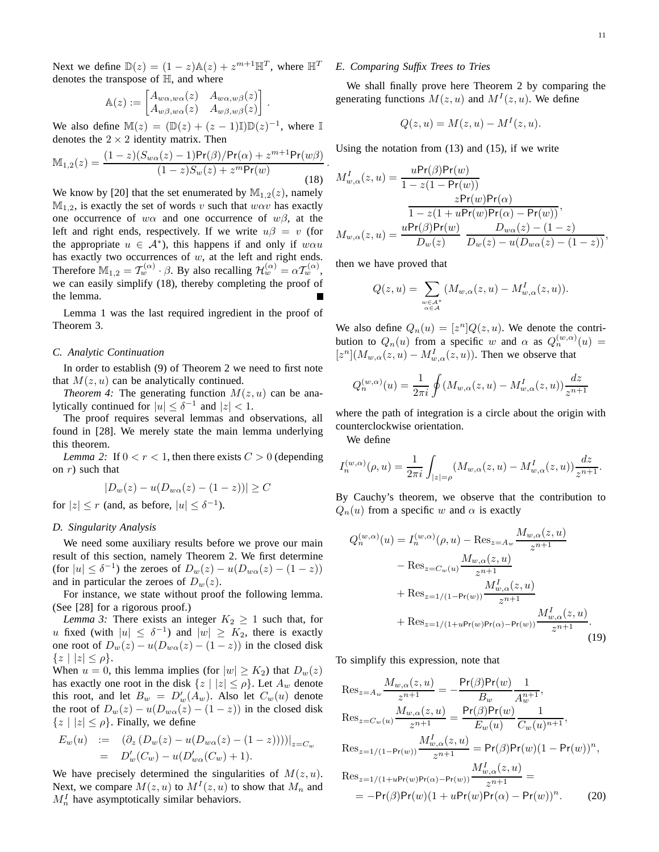Next we define  $\mathbb{D}(z) = (1 - z)\mathbb{A}(z) + z^{m+1}\mathbb{H}^T$ , where  $\mathbb{H}^T$ denotes the transpose of H, and where

$$
\mathbb{A}(z) := \begin{bmatrix} A_{w\alpha,w\alpha}(z) & A_{w\alpha,w\beta}(z) \\ A_{w\beta,w\alpha}(z) & A_{w\beta,w\beta}(z) \end{bmatrix}.
$$

We also define  $\mathbb{M}(z) = (\mathbb{D}(z) + (z - 1)\mathbb{I})\mathbb{D}(z)^{-1}$ , where  $\mathbb{I}$ denotes the  $2 \times 2$  identity matrix. Then

$$
\mathbb{M}_{1,2}(z) = \frac{(1-z)(S_{w\alpha}(z)-1)\Pr(\beta)/\Pr(\alpha) + z^{m+1}\Pr(w\beta)}{(1-z)S_w(z) + z^m\Pr(w)}.
$$
\n(18)

We know by [20] that the set enumerated by  $\mathbb{M}_{1,2}(z)$ , namely  $M_{1,2}$ , is exactly the set of words v such that  $w\alpha v$  has exactly one occurrence of w $\alpha$  and one occurrence of w $\beta$ , at the left and right ends, respectively. If we write  $u\beta = v$  (for the appropriate  $u \in A^*$ , this happens if and only if  $w\alpha u$ has exactly two occurrences of  $w$ , at the left and right ends. Therefore  $\mathbb{M}_{1,2} = \mathcal{T}_{w}^{(\alpha)} \cdot \beta$ . By also recalling  $\mathcal{H}_{w}^{(\alpha)} = \alpha \mathcal{T}_{w}^{(\alpha)}$ , we can easily simplify (18), thereby completing the proof of the lemma.

Lemma 1 was the last required ingredient in the proof of Theorem 3.

#### *C. Analytic Continuation*

In order to establish (9) of Theorem 2 we need to first note that  $M(z, u)$  can be analytically continued.

*Theorem 4:* The generating function  $M(z, u)$  can be analytically continued for  $|u| \leq \delta^{-1}$  and  $|z| < 1$ .

The proof requires several lemmas and observations, all found in [28]. We merely state the main lemma underlying this theorem.

*Lemma 2:* If  $0 < r < 1$ , then there exists  $C > 0$  (depending on  $r$ ) such that

$$
|D_w(z) - u(D_{w\alpha}(z) - (1 - z))| \ge C
$$

for  $|z| \le r$  (and, as before,  $|u| \le \delta^{-1}$ ).

#### *D. Singularity Analysis*

We need some auxiliary results before we prove our main result of this section, namely Theorem 2. We first determine (for  $|u| \leq \delta^{-1}$ ) the zeroes of  $D_w(z) - u(D_{w\alpha}(z) - (1-z))$ and in particular the zeroes of  $D_w(z)$ .

For instance, we state without proof the following lemma. (See [28] for a rigorous proof.)

*Lemma 3:* There exists an integer  $K_2 \geq 1$  such that, for u fixed (with  $|u| \leq \delta^{-1}$ ) and  $|w| \geq K_2$ , there is exactly one root of  $D_w(z) - u(D_{w\alpha}(z) - (1 - z))$  in the closed disk  ${z | |z| < \rho}.$ 

When  $u = 0$ , this lemma implies (for  $|w| \ge K_2$ ) that  $D_w(z)$ has exactly one root in the disk  $\{z \mid |z| \leq \rho\}$ . Let  $A_w$  denote this root, and let  $B_w = D'_w(A_w)$ . Also let  $C_w(u)$  denote the root of  $D_w(z) - u(D_{w\alpha}(z) - (1 - z))$  in the closed disk  ${z | |z| \leq \rho}.$  Finally, we define

$$
E_w(u) := (\partial_z (D_w(z) - u(D_{w\alpha}(z) - (1 - z))))|_{z = C_w}
$$
  
=  $D'_w(C_w) - u(D'_{w\alpha}(C_w) + 1).$ 

We have precisely determined the singularities of  $M(z, u)$ . Next, we compare  $M(z, u)$  to  $M<sup>I</sup>(z, u)$  to show that  $M<sub>n</sub>$  and  $M_n^I$  have asymptotically similar behaviors.

## *E. Comparing Suffix Trees to Tries*

We shall finally prove here Theorem 2 by comparing the generating functions  $M(z, u)$  and  $M<sup>I</sup>(z, u)$ . We define

$$
Q(z, u) = M(z, u) - MI(z, u).
$$

Using the notation from (13) and (15), if we write

$$
M_{w,\alpha}^I(z,u) = \frac{u \Pr(\beta) \Pr(w)}{1 - z(1 - \Pr(w))}
$$
  
\n
$$
z \Pr(w) \Pr(\alpha)
$$
  
\n
$$
\frac{1 - z(1 + u \Pr(w) \Pr(\alpha) - \Pr(w))}{1 - z(1 + u \Pr(w) \Pr(\alpha) - \Pr(w))},
$$
  
\n
$$
M_{w,\alpha}(z,u) = \frac{u \Pr(\beta) \Pr(w)}{D_w(z)} \frac{D_{w\alpha}(z) - (1 - z)}{D_w(z) - u(D_{w\alpha}(z) - (1 - z))},
$$

then we have proved that

$$
Q(z, u) = \sum_{\substack{w \in \mathcal{A}^* \\ \alpha \in \mathcal{A}}} (M_{w, \alpha}(z, u) - M_{w, \alpha}^I(z, u)).
$$

We also define  $Q_n(u) = [z^n]Q(z, u)$ . We denote the contribution to  $Q_n(u)$  from a specific w and  $\alpha$  as  $Q_n^{(w,\alpha)}(u) =$  $[z^n](M_{w,\alpha}(z,u) - M_{w,\alpha}^I(z,u))$ . Then we observe that

$$
Q_n^{(w,\alpha)}(u)=\frac{1}{2\pi i}\oint (M_{w,\alpha}(z,u)-M_{w,\alpha}^I(z,u))\frac{dz}{z^{n+1}}
$$

where the path of integration is a circle about the origin with counterclockwise orientation.

We define

$$
I_n^{(w,\alpha)}(\rho, u) = \frac{1}{2\pi i} \int_{|z|=\rho} (M_{w,\alpha}(z, u) - M_{w,\alpha}^I(z, u)) \frac{dz}{z^{n+1}}.
$$

By Cauchy's theorem, we observe that the contribution to  $Q_n(u)$  from a specific w and  $\alpha$  is exactly

$$
Q_n^{(w,\alpha)}(u) = I_n^{(w,\alpha)}(\rho, u) - \text{Res}_{z=A_w} \frac{M_{w,\alpha}(z, u)}{z^{n+1}} - \text{Res}_{z=C_w(u)} \frac{M_{w,\alpha}(z, u)}{z^{n+1}} + \text{Res}_{z=1/(1-\text{Pr}(w))} \frac{M_{w,\alpha}^I(z, u)}{z^{n+1}} + \text{Res}_{z=1/(1+u\text{Pr}(w)\text{Pr}(\alpha)-\text{Pr}(w))} \frac{M_{w,\alpha}^I(z, u)}{z^{n+1}}.
$$
\n(19)

To simplify this expression, note that

$$
\operatorname{Res}_{z=A_w} \frac{M_{w,\alpha}(z,u)}{z^{n+1}} = -\frac{\Pr(\beta)\Pr(w)}{B_w} \frac{1}{A_w^{n+1}},
$$
  
\n
$$
\operatorname{Res}_{z=C_w(u)} \frac{M_{w,\alpha}(z,u)}{z^{n+1}} = \frac{\Pr(\beta)\Pr(w)}{E_w(u)} \frac{1}{C_w(u)^{n+1}},
$$
  
\n
$$
\operatorname{Res}_{z=1/(1-\Pr(w))} \frac{M_{w,\alpha}^I(z,u)}{z^{n+1}} = \Pr(\beta)\Pr(w)(1-\Pr(w))^n,
$$
  
\n
$$
\operatorname{Res}_{z=1/(1+u\Pr(w)\Pr(\alpha)-\Pr(w))} \frac{M_{w,\alpha}^I(z,u)}{z^{n+1}} =
$$
  
\n
$$
= -\Pr(\beta)\Pr(w)(1+u\Pr(w)\Pr(\alpha)-\Pr(w))^n.
$$
 (20)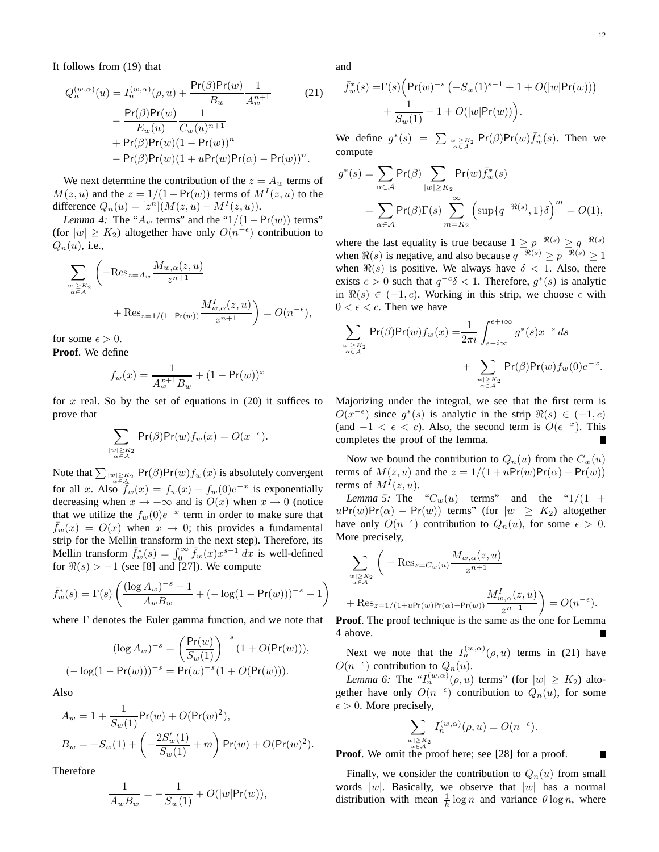It follows from (19) that

$$
Q_n^{(w,\alpha)}(u) = I_n^{(w,\alpha)}(\rho, u) + \frac{\Pr(\beta)\Pr(w)}{B_w} \frac{1}{A_w^{n+1}}
$$
(21)  

$$
- \frac{\Pr(\beta)\Pr(w)}{E_w(u)} \frac{1}{C_w(u)^{n+1}}
$$
  

$$
+ \Pr(\beta)\Pr(w)(1 - \Pr(w))^n
$$
  

$$
- \Pr(\beta)\Pr(w)(1 + u\Pr(w)\Pr(\alpha) - \Pr(w))^n.
$$

We next determine the contribution of the  $z = A_w$  terms of  $M(z, u)$  and the  $z = 1/(1 - Pr(w))$  terms of  $M<sup>T</sup>(z, u)$  to the difference  $Q_n(u) = [z^n](M(z, u) - M<sup>T</sup>(z, u)).$ 

*Lemma 4:* The " $A_w$  terms" and the " $1/(1 - Pr(w))$  terms" (for  $|w| \ge K_2$ ) altogether have only  $O(n^{-\epsilon})$  contribution to  $Q_n(u)$ , i.e.,

$$
\sum_{\substack{|w| \ge K_2 \\ \alpha \in A}} \left( -\text{Res}_{z=A_w} \frac{M_{w,\alpha}(z,u)}{z^{n+1}} + \text{Res}_{z=1/(1-\text{Pr}(w))} \frac{M_{w,\alpha}^I(z,u)}{z^{n+1}} \right) = O(n^{-\epsilon}),
$$

for some  $\epsilon > 0$ . **Proof**. We define

$$
f_w(x) = \frac{1}{A_w^{x+1} B_w} + (1 - \Pr(w))^x
$$

for x real. So by the set of equations in  $(20)$  it suffices to prove that

$$
\sum_{\substack{|w|\geq K_2\\ \alpha\in\mathcal{A}}} \Pr(\beta) \Pr(w) f_w(x) = O(x^{-\epsilon}).
$$

Note that  $\sum_{|w| \ge K_2 \atop \alpha \in \mathcal{A}} \mathsf{Pr}(\beta) \mathsf{Pr}(w) f_w(x)$  is absolutely convergent for all x. Also  $\hat{f}_w(x) = f_w(x) - f_w(0)e^{-x}$  is exponentially decreasing when  $x \to +\infty$  and is  $O(x)$  when  $x \to 0$  (notice that we utilize the  $f_w(0)e^{-x}$  term in order to make sure that  $f_w(x) = O(x)$  when  $x \to 0$ ; this provides a fundamental strip for the Mellin transform in the next step). Therefore, its Mellin transform  $\bar{f}_w^*(s) = \int_0^\infty \bar{f}_w(x) x^{s-1} dx$  is well-defined for  $\Re(s) > -1$  (see [8] and [27]). We compute

$$
\bar{f}_w^*(s) = \Gamma(s) \left( \frac{(\log A_w)^{-s} - 1}{A_w B_w} + (-\log(1 - \Pr(w)))^{-s} - 1 \right)
$$

where Γ denotes the Euler gamma function, and we note that

$$
(\log A_w)^{-s} = \left(\frac{\Pr(w)}{S_w(1)}\right)^{-s} (1 + O(\Pr(w))),
$$

$$
(-\log(1 - \Pr(w)))^{-s} = \Pr(w)^{-s} (1 + O(\Pr(w))).
$$

Also

$$
A_w = 1 + \frac{1}{S_w(1)} \Pr(w) + O(\Pr(w)^2),
$$
  
\n
$$
B_w = -S_w(1) + \left(-\frac{2S_w'(1)}{S_w(1)} + m\right) \Pr(w) + O(\Pr(w)^2).
$$

Therefore

$$
\frac{1}{A_w B_w} = -\frac{1}{S_w(1)} + O(|w| \Pr(w)),
$$

and

$$
\begin{aligned} \bar{f}_w^*(s)=&\Gamma(s)\Big(\mathsf{Pr}(w)^{-s}\left(-S_w(1)^{s-1}+1+O(|w|\mathsf{Pr}(w))\right)\\ &+\frac{1}{S_w(1)}-1+O(|w|\mathsf{Pr}(w))\Big). \end{aligned}
$$

We define  $g^*(s) = \sum_{\substack{|w| \geq K_2 \\ \alpha \in A}} Pr(\beta) Pr(w) \bar{f}^*_w(s)$ . Then we compute

$$
g^*(s) = \sum_{\alpha \in \mathcal{A}} \Pr(\beta) \sum_{|w| \ge K_2} \Pr(w) \bar{f}_w^*(s)
$$
  
= 
$$
\sum_{\alpha \in \mathcal{A}} \Pr(\beta) \Gamma(s) \sum_{m=K_2}^{\infty} \left( \sup \{ q^{-\Re(s)}, 1 \} \delta \right)^m = O(1),
$$

where the last equality is true because  $1 \ge p^{-\Re(s)} \ge q^{-\Re(s)}$ when  $\Re(s)$  is negative, and also because  $q^{-\Re(s)} \geq p^{-\Re(s)} \geq 1$ when  $\Re(s)$  is positive. We always have  $\delta < 1$ . Also, there exists  $c > 0$  such that  $q^{-c}\delta < 1$ . Therefore,  $g^*(s)$  is analytic in  $\Re(s) \in (-1, c)$ . Working in this strip, we choose  $\epsilon$  with  $0 < \epsilon < c$ . Then we have

$$
\sum_{\substack{|w| \geq K_2 \\ \alpha \in A}} \Pr(\beta) \Pr(w) f_w(x) = \frac{1}{2\pi i} \int_{\epsilon - i\infty}^{\epsilon + i\infty} g^*(s) x^{-s} ds + \sum_{\substack{|w| \geq K_2 \\ \alpha \in A}} \Pr(\beta) \Pr(w) f_w(0) e^{-x}.
$$

Majorizing under the integral, we see that the first term is  $O(x^{-\epsilon})$  since  $g^*(s)$  is analytic in the strip  $\Re(s) \in (-1, c)$ (and  $-1 < \epsilon < c$ ). Also, the second term is  $O(e^{-x})$ . This completes the proof of the lemma.

Now we bound the contribution to  $Q_n(u)$  from the  $C_w(u)$ terms of  $M(z, u)$  and the  $z = 1/(1 + uPr(w)Pr(\alpha) - Pr(w))$ terms of  $M<sup>I</sup>(z, u)$ .

*Lemma 5:* The " $C_w(u)$  terms" and the " $1/(1 +$  $uPr(w)Pr(\alpha) - Pr(w)$  terms" (for  $|w| \ge K_2$ ) altogether have only  $O(n^{-\epsilon})$  contribution to  $Q_n(u)$ , for some  $\epsilon > 0$ . More precisely,

$$
\begin{split} & \sum_{\scriptstyle |w|\geq K_2 \atop \scriptstyle \alpha\in\mathcal{A}}\bigg(-\operatorname{Res}_{z=C_w(u)}\frac{M_{w,\alpha}(z,u)}{z^{n+1}}\\ & +\operatorname{Res}_{z=1/(1+u\text{Pr}(w)\text{Pr}(\alpha)-\text{Pr}(w))}\frac{M_{w,\alpha}^I(z,u)}{z^{n+1}}\bigg)=O(n^{-\epsilon}). \end{split}
$$

**Proof.** The proof technique is the same as the one for Lemma 4 above.

Next we note that the  $I_n^{(w,\alpha)}(\rho, u)$  terms in (21) have  $O(n^{-\epsilon})$  contribution to  $Q_n(u)$ .

*Lemma 6:* The  $"I_n^{(w,\alpha)}(\rho, u)$  terms" (for  $|w| \ge K_2$ ) altogether have only  $O(n^{-\epsilon})$  contribution to  $Q_n(u)$ , for some  $\epsilon > 0$ . More precisely,

$$
\sum_{\substack{|w| \geq K_2 \\ w \in A^2}} I_n^{(w,\alpha)}(\rho, u) = O(n^{-\epsilon}).
$$

П

**Proof**. We omit the proof here; see [28] for a proof.

Finally, we consider the contribution to  $Q_n(u)$  from small words  $|w|$ . Basically, we observe that  $|w|$  has a normal distribution with mean  $\frac{1}{h} \log n$  and variance  $\theta \log n$ , where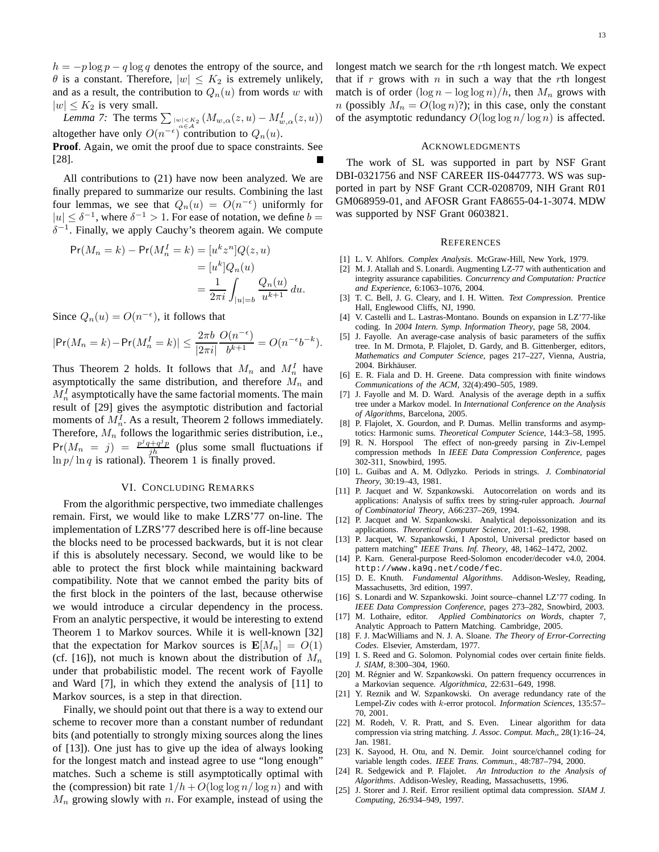$h = -p \log p - q \log q$  denotes the entropy of the source, and  $\theta$  is a constant. Therefore,  $|w| \leq K_2$  is extremely unlikely, and as a result, the contribution to  $Q_n(u)$  from words w with  $|w| \leq K_2$  is very small.

*Lemma 7:* The terms  $\sum_{\substack{|w| < K_2 \\ \alpha \in \mathcal{A}}} (M_{w,\alpha}(z, u) - M_{w,\alpha}^I(z, u))$ altogether have only  $O(n^{-\epsilon})$  contribution to  $Q_n(u)$ . **Proof**. Again, we omit the proof due to space constraints. See

All contributions to (21) have now been analyzed. We are finally prepared to summarize our results. Combining the last four lemmas, we see that  $Q_n(u) = O(n^{-\epsilon})$  uniformly for  $|u| \leq \delta^{-1}$ , where  $\delta^{-1} > 1$ . For ease of notation, we define  $b =$  $\delta^{-1}$ . Finally, we apply Cauchy's theorem again. We compute

$$
Pr(M_n = k) - Pr(M_n^I = k) = [u^k z^n] Q(z, u)
$$
  

$$
= [u^k] Q_n(u)
$$
  

$$
= \frac{1}{2\pi i} \int_{|u|=b} \frac{Q_n(u)}{u^{k+1}} du.
$$

Since  $Q_n(u) = O(n^{-\epsilon})$ , it follows that

[28].

$$
|\mathsf{Pr}(M_n = k) - \mathsf{Pr}(M_n^I = k)| \le \frac{2\pi b}{|2\pi i|} \frac{O(n^{-\epsilon})}{b^{k+1}} = O(n^{-\epsilon}b^{-k}).
$$

Thus Theorem 2 holds. It follows that  $M_n$  and  $M_n^I$  have asymptotically the same distribution, and therefore  $M_n$  and  $M_n^I$  asymptotically have the same factorial moments. The main result of [29] gives the asymptotic distribution and factorial moments of  $M_n^I$ . As a result, Theorem 2 follows immediately. Therefore,  $M_n$  follows the logarithmic series distribution, i.e.,  $Pr(M_n = j) = \frac{p^jq + q^jp}{jh}$  (plus some small fluctuations if  $\ln p / \ln q$  is rational). Theorem 1 is finally proved.

#### VI. CONCLUDING REMARKS

From the algorithmic perspective, two immediate challenges remain. First, we would like to make LZRS'77 on-line. The implementation of LZRS'77 described here is off-line because the blocks need to be processed backwards, but it is not clear if this is absolutely necessary. Second, we would like to be able to protect the first block while maintaining backward compatibility. Note that we cannot embed the parity bits of the first block in the pointers of the last, because otherwise we would introduce a circular dependency in the process. From an analytic perspective, it would be interesting to extend Theorem 1 to Markov sources. While it is well-known [32] that the expectation for Markov sources is  $\mathbf{E}[M_n] = O(1)$ (cf. [16]), not much is known about the distribution of  $M_n$ under that probabilistic model. The recent work of Fayolle and Ward [7], in which they extend the analysis of [11] to Markov sources, is a step in that direction.

Finally, we should point out that there is a way to extend our scheme to recover more than a constant number of redundant bits (and potentially to strongly mixing sources along the lines of [13]). One just has to give up the idea of always looking for the longest match and instead agree to use "long enough" matches. Such a scheme is still asymptotically optimal with the (compression) bit rate  $1/h + O(\log \log n / \log n)$  and with  $M_n$  growing slowly with n. For example, instead of using the

longest match we search for the rth longest match. We expect that if r grows with  $n$  in such a way that the rth longest match is of order  $(\log n - \log \log n)/h$ , then  $M_n$  grows with *n* (possibly  $M_n = O(\log n)$ ?); in this case, only the constant of the asymptotic redundancy  $O(\log \log n / \log n)$  is affected.

#### ACKNOWLEDGMENTS

The work of SL was supported in part by NSF Grant DBI-0321756 and NSF CAREER IIS-0447773. WS was supported in part by NSF Grant CCR-0208709, NIH Grant R01 GM068959-01, and AFOSR Grant FA8655-04-1-3074. MDW was supported by NSF Grant 0603821.

#### **REFERENCES**

- [1] L. V. Ahlfors. *Complex Analysis*. McGraw-Hill, New York, 1979.
- [2] M. J. Atallah and S. Lonardi. Augmenting LZ-77 with authentication and integrity assurance capabilities. *Concurrency and Computation: Practice and Experience*, 6:1063–1076, 2004.
- [3] T. C. Bell, J. G. Cleary, and I. H. Witten. *Text Compression*. Prentice Hall, Englewood Cliffs, NJ, 1990.
- [4] V. Castelli and L. Lastras-Montano. Bounds on expansion in LZ'77-like coding. In *2004 Intern. Symp. Information Theory*, page 58, 2004.
- [5] J. Fayolle. An average-case analysis of basic parameters of the suffix tree. In M. Drmota, P. Flajolet, D. Gardy, and B. Gittenberger, editors, *Mathematics and Computer Science*, pages 217–227, Vienna, Austria, 2004. Birkhäuser.
- [6] E. R. Fiala and D. H. Greene. Data compression with finite windows *Communications of the ACM*, 32(4):490–505, 1989.
- [7] J. Fayolle and M. D. Ward. Analysis of the average depth in a suffix tree under a Markov model. In *International Conference on the Analysis of Algorithms*, Barcelona, 2005.
- [8] P. Flajolet, X. Gourdon, and P. Dumas. Mellin transforms and asymptotics: Harmonic sums. *Theoretical Computer Science*, 144:3–58, 1995.
- [9] R. N. Horspool The effect of non-greedy parsing in Ziv-Lempel compression methods In *IEEE Data Compression Conference*, pages 302-311, Snowbird, 1995.
- [10] L. Guibas and A. M. Odlyzko. Periods in strings. *J. Combinatorial Theory*, 30:19–43, 1981.
- [11] P. Jacquet and W. Szpankowski. Autocorrelation on words and its applications: Analysis of suffix trees by string-ruler approach. *Journal of Combinatorial Theory*, A66:237–269, 1994.
- [12] P. Jacquet and W. Szpankowski. Analytical depoissonization and its applications. *Theoretical Computer Science*, 201:1–62, 1998.
- [13] P. Jacquet, W. Szpankowski, I Apostol, Universal predictor based on pattern matching" *IEEE Trans. Inf. Theory*, 48, 1462–1472, 2002.
- [14] P. Karn. General-purpose Reed-Solomon encoder/decoder v4.0, 2004. http://www.ka9q.net/code/fec.
- [15] D. E. Knuth. *Fundamental Algorithms*. Addison-Wesley, Reading, Massachusetts, 3rd edition, 1997.
- [16] S. Lonardi and W. Szpankowski. Joint source-channel LZ'77 coding. In *IEEE Data Compression Conference*, pages 273–282, Snowbird, 2003.
- [17] M. Lothaire, editor. *Applied Combinatorics on Words*, chapter 7, Analytic Approach to Pattern Matching. Cambridge, 2005.
- [18] F. J. MacWilliams and N. J. A. Sloane. *The Theory of Error-Correcting Codes*. Elsevier, Amsterdam, 1977.
- [19] I. S. Reed and G. Solomon. Polynomial codes over certain finite fields. *J. SIAM*, 8:300–304, 1960.
- [20] M. Régnier and W. Szpankowski. On pattern frequency occurrences in a Markovian sequence. *Algorithmica*, 22:631–649, 1998.
- [21] Y. Reznik and W. Szpankowski. On average redundancy rate of the Lempel-Ziv codes with k-error protocol. *Information Sciences*, 135:57– 70, 2001.
- [22] M. Rodeh, V. R. Pratt, and S. Even. Linear algorithm for data compression via string matching. *J. Assoc. Comput. Mach,*, 28(1):16–24, Jan. 1981.
- [23] K. Sayood, H. Otu, and N. Demir. Joint source/channel coding for variable length codes. *IEEE Trans. Commun.*, 48:787–794, 2000.
- [24] R. Sedgewick and P. Flajolet. *An Introduction to the Analysis of Algorithms*. Addison-Wesley, Reading, Massachusetts, 1996.
- [25] J. Storer and J. Reif. Error resilient optimal data compression. *SIAM J. Computing*, 26:934–949, 1997.